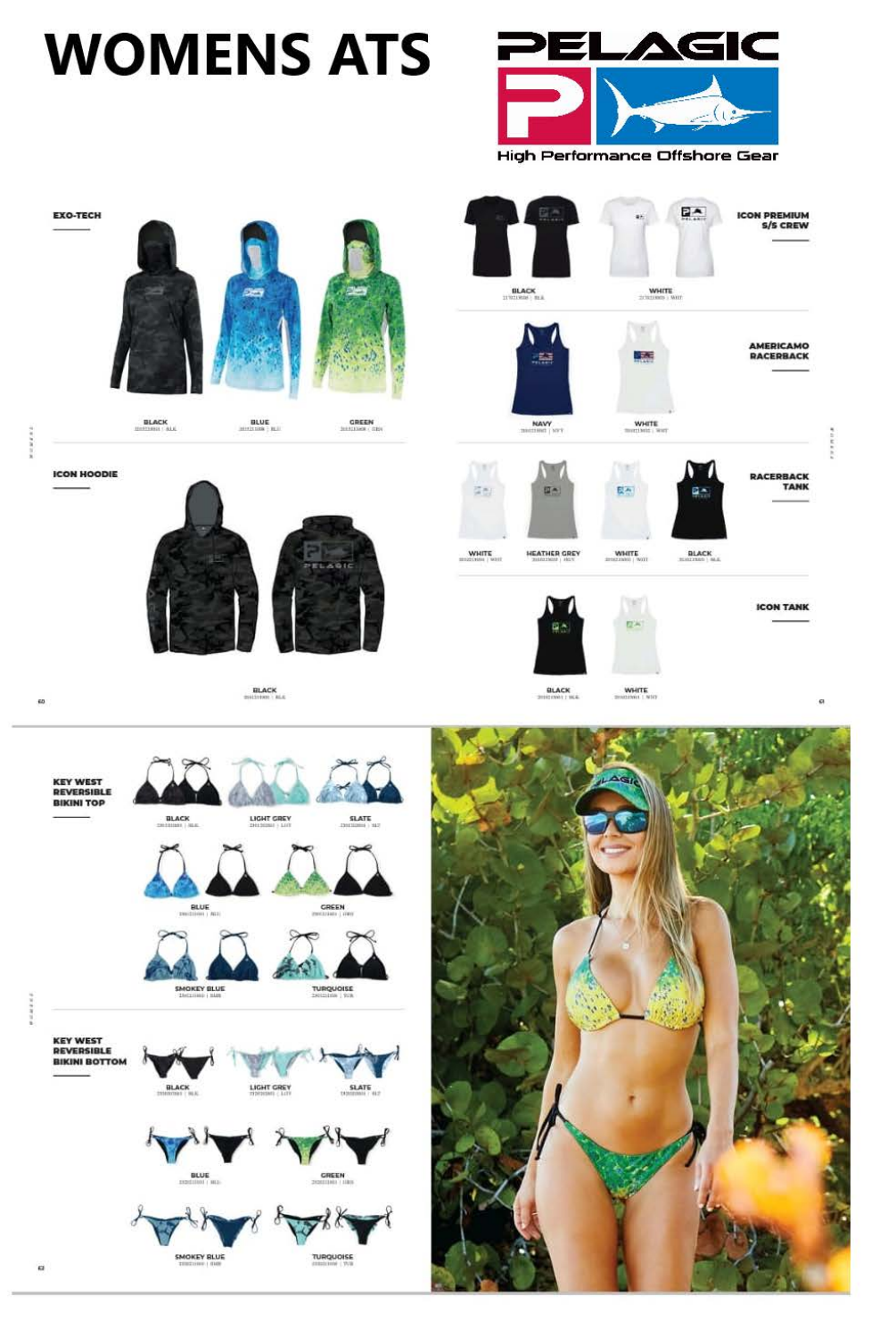# **WOMENS ATS**



High Performance Offshore Gear



**REVERSIBLE BIKINI BOTTOM** 



TURQUOISE

**SMOKEY BLUE** 

 $\alpha$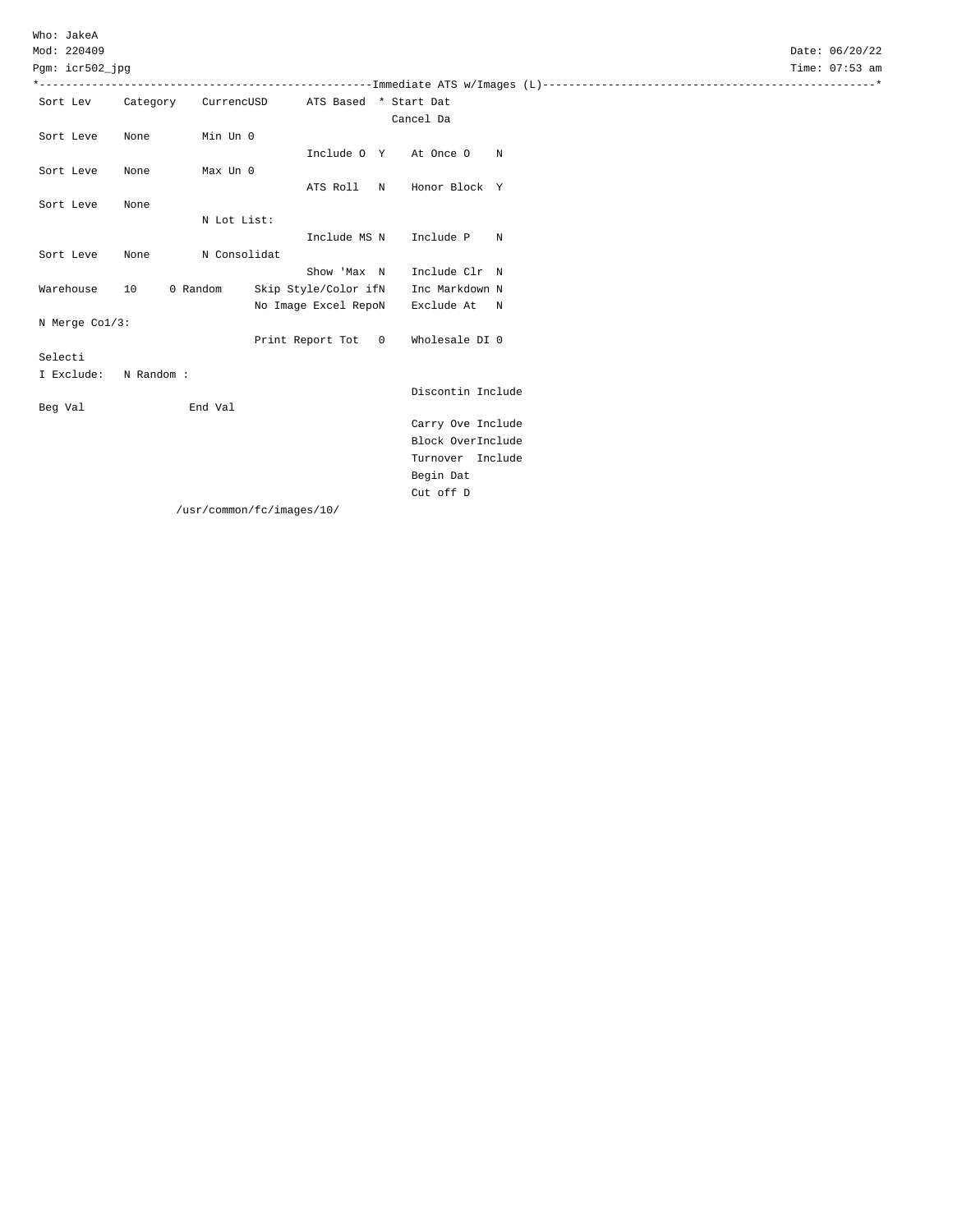Pgm: icr502\_jpg

| PQM. ICLOUZ<br>. Ibd                      | r Tille - | ∪ / • ೨೨ ಕೆ… |  |
|-------------------------------------------|-----------|--------------|--|
| ----------------Immediate ATS w/Images (1 |           |              |  |

| Sort Lev       | Category  | CurrencUSD   | ATS Based * Start Dat |                   |                   |             |
|----------------|-----------|--------------|-----------------------|-------------------|-------------------|-------------|
|                |           |              |                       |                   | Cancel Da         |             |
| Sort Leve      | None      | Min Un 0     |                       |                   |                   |             |
|                |           |              | Include O Y           |                   | At Once O         | N           |
| Sort Leve      | None      | Max Un 0     |                       |                   |                   |             |
|                |           |              | ATS Roll              | N                 | Honor Block Y     |             |
| Sort Leve      | None      |              |                       |                   |                   |             |
|                |           | N Lot List:  |                       |                   |                   |             |
|                |           |              | Include MS N          |                   | Include P         | N           |
| Sort Leve      | None      | N Consolidat |                       |                   |                   |             |
|                |           |              | Show 'Max N           |                   | Include Clr       | $\mathbb N$ |
| Warehouse      | 10        | 0 Random     | Skip Style/Color ifN  |                   | Inc Markdown N    |             |
|                |           |              | No Image Excel RepoN  |                   | Exclude At        | N           |
| N Merge Col/3: |           |              |                       |                   |                   |             |
|                |           |              | Print Report Tot      | $0 \qquad \qquad$ | Wholesale DI 0    |             |
| Selecti        |           |              |                       |                   |                   |             |
| I Exclude:     | N Random: |              |                       |                   |                   |             |
|                |           |              |                       |                   | Discontin Include |             |
| Beg Val        |           | End Val      |                       |                   |                   |             |
|                |           |              |                       |                   | Carry Ove Include |             |
|                |           |              |                       |                   | Block OverInclude |             |
|                |           |              |                       |                   | Turnover Include  |             |
|                |           |              |                       |                   |                   |             |
|                |           |              |                       |                   | Cut off D         |             |
|                |           |              |                       |                   | Begin Dat         |             |

/usr/common/fc/images/10/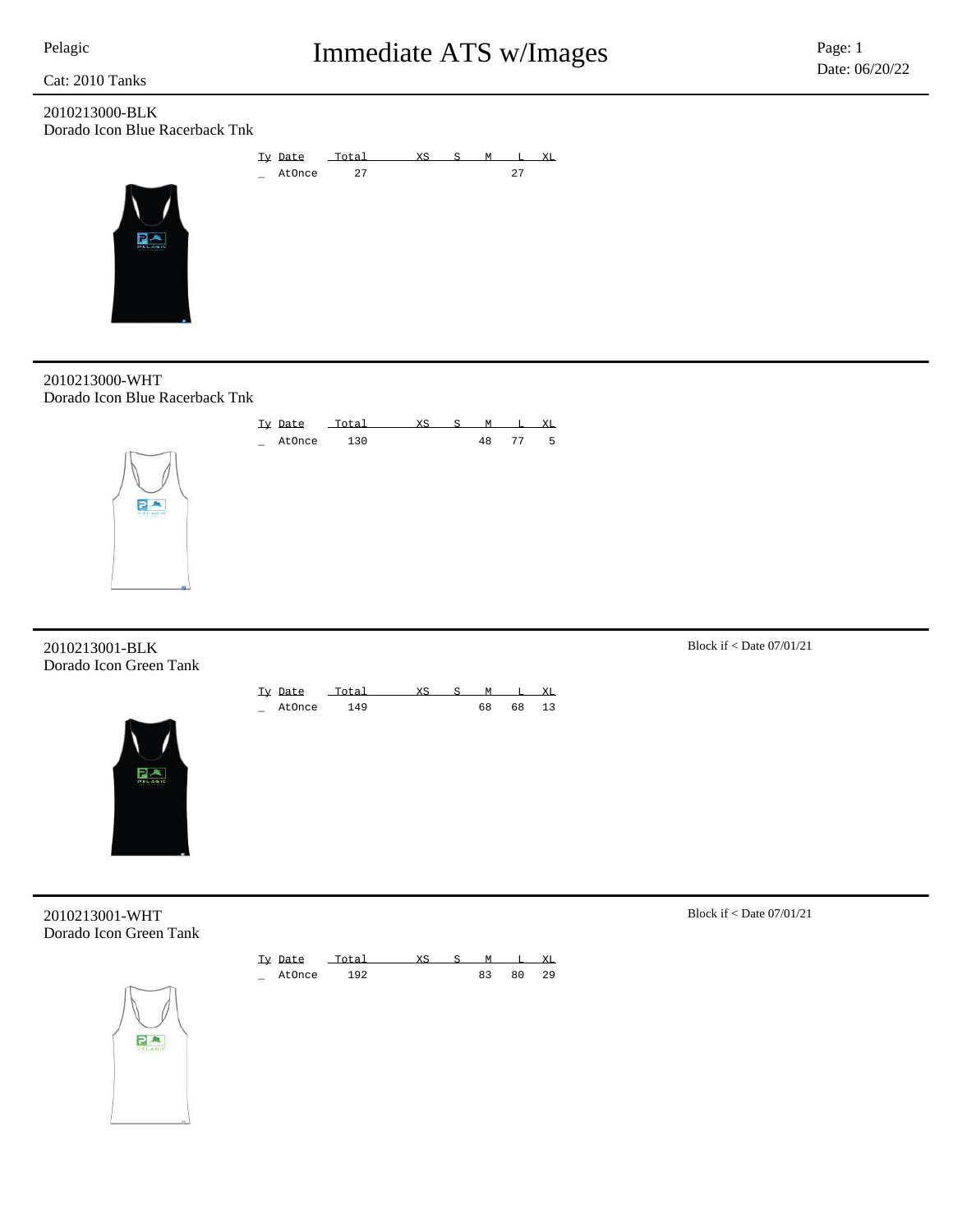### 2010213000-BLK Dorado Icon Blue Racerback Tnk

 $R^A$ 



2010213000-WHT Dorado Icon Blue Racerback Tnk



### 2010213001-BLK Block if < Date 07/01/21 Dorado Icon Green Tank





2010213001-WHT Block if < Date 07/01/21 Dorado Icon Green Tank



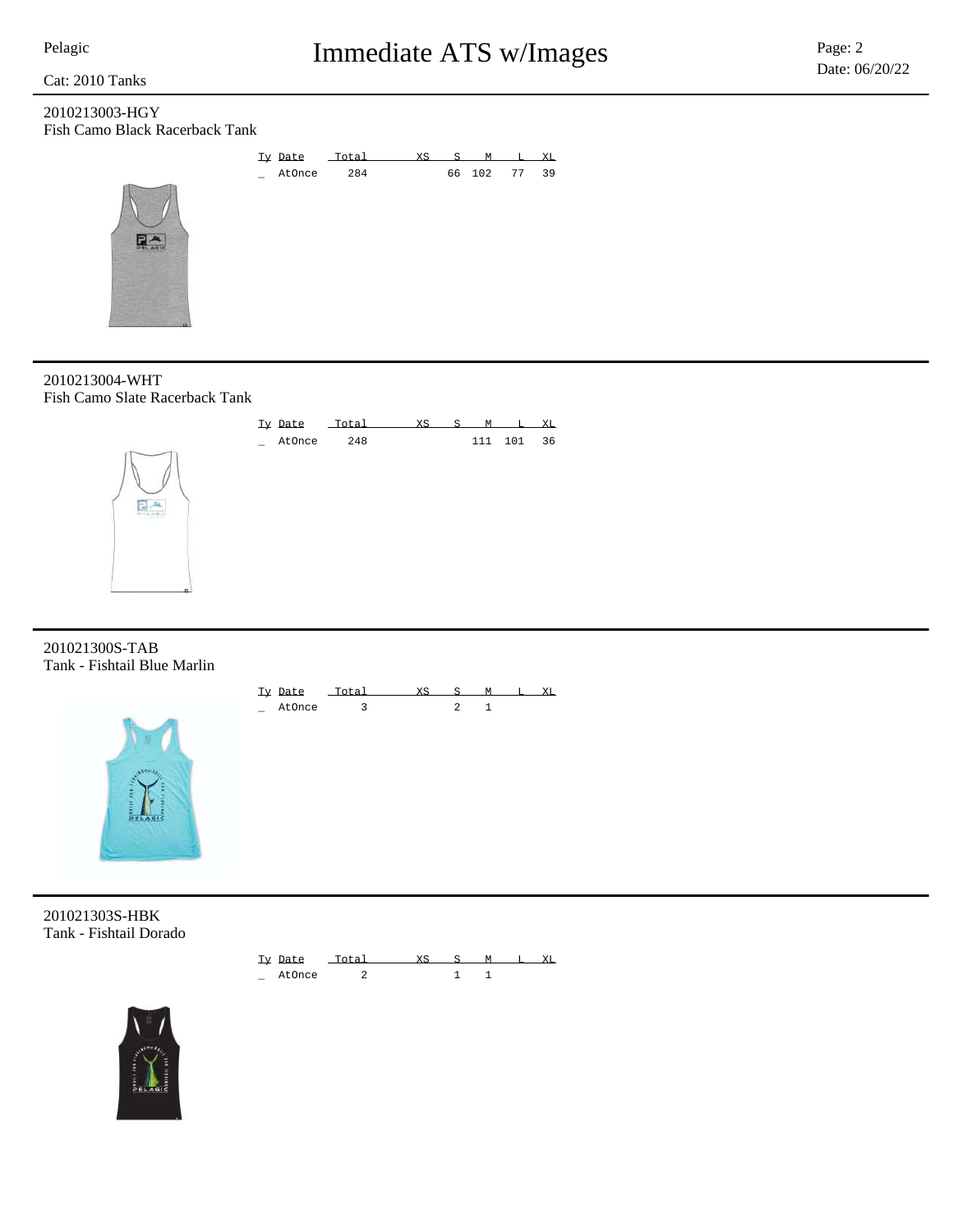### 2010213003-HGY Fish Camo Black Racerback Tank

 $R_{\text{max}}$ 



### 2010213004-WHT Fish Camo Slate Racerback Tank



### 201021300S-TAB Tank - Fishtail Blue Marlin



Ty Date Total XS S M L XL \_ AtOnce 3 2 1

201021303S-HBK Tank - Fishtail Dorado



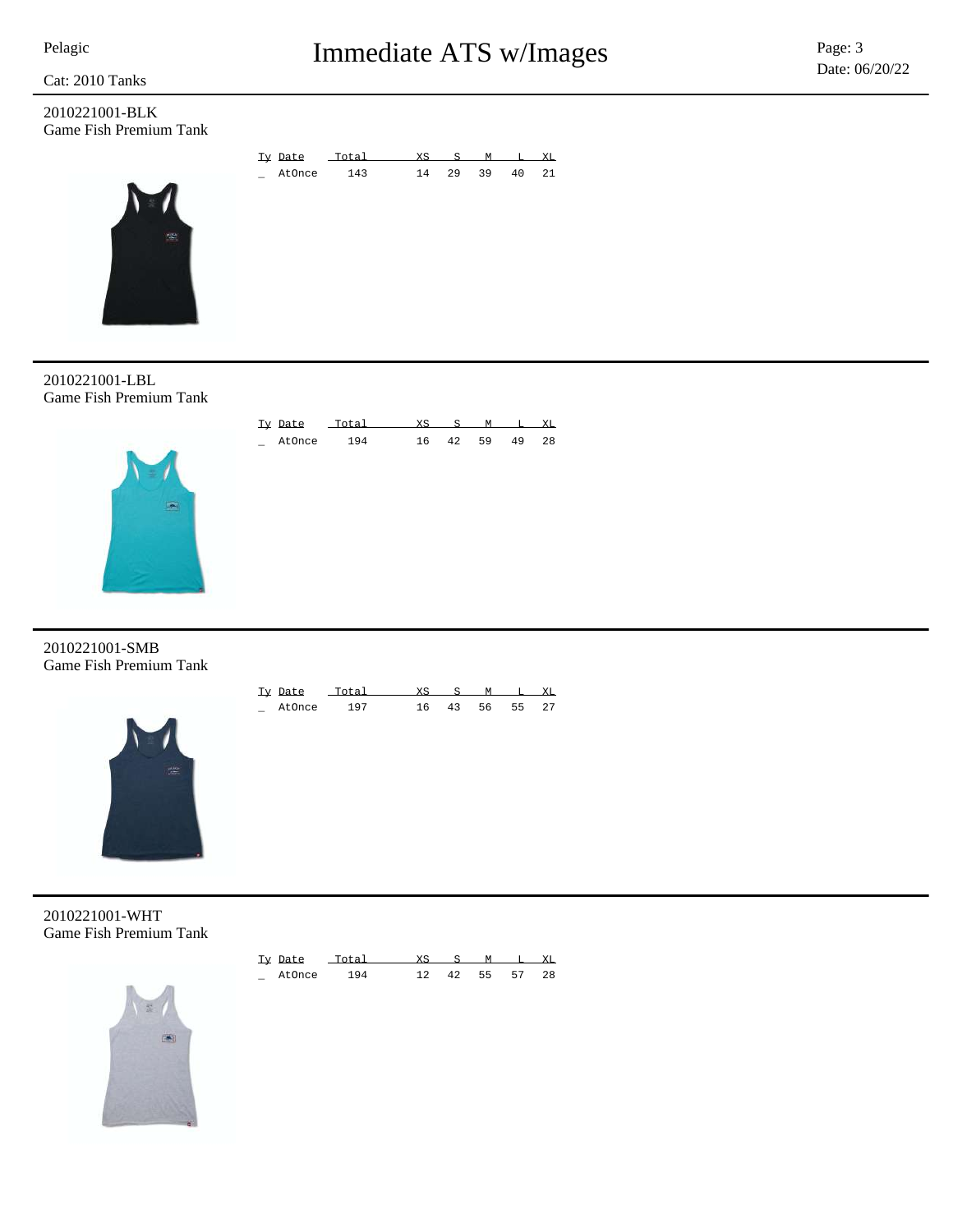2010221001-BLK Game Fish Premium Tank



| Ty Date | Total | XS | $S_{\perp}$ | м  |    | XT. |
|---------|-------|----|-------------|----|----|-----|
| AtOnce  | 143   | 14 | 29          | 39 | 40 | 21  |
|         |       |    |             |    |    |     |
|         |       |    |             |    |    |     |
|         |       |    |             |    |    |     |
|         |       |    |             |    |    |     |
|         |       |    |             |    |    |     |
|         |       |    |             |    |    |     |

Ty Date Total XS S M L XL \_ AtOnce 194 16 42 59 49 28

2010221001-LBL Game Fish Premium Tank



2010221001-SMB Game Fish Premium Tank



| Tv Date | - a |    |     |    | XТ. |
|---------|-----|----|-----|----|-----|
| AtOnce  | 107 | 43 | 56. | 55 | 27  |

2010221001-WHT Game Fish Premium Tank



| Ty Date |     |    | M  |    | XT. |
|---------|-----|----|----|----|-----|
| AtOnce  | 194 | 42 | 55 | 57 | -28 |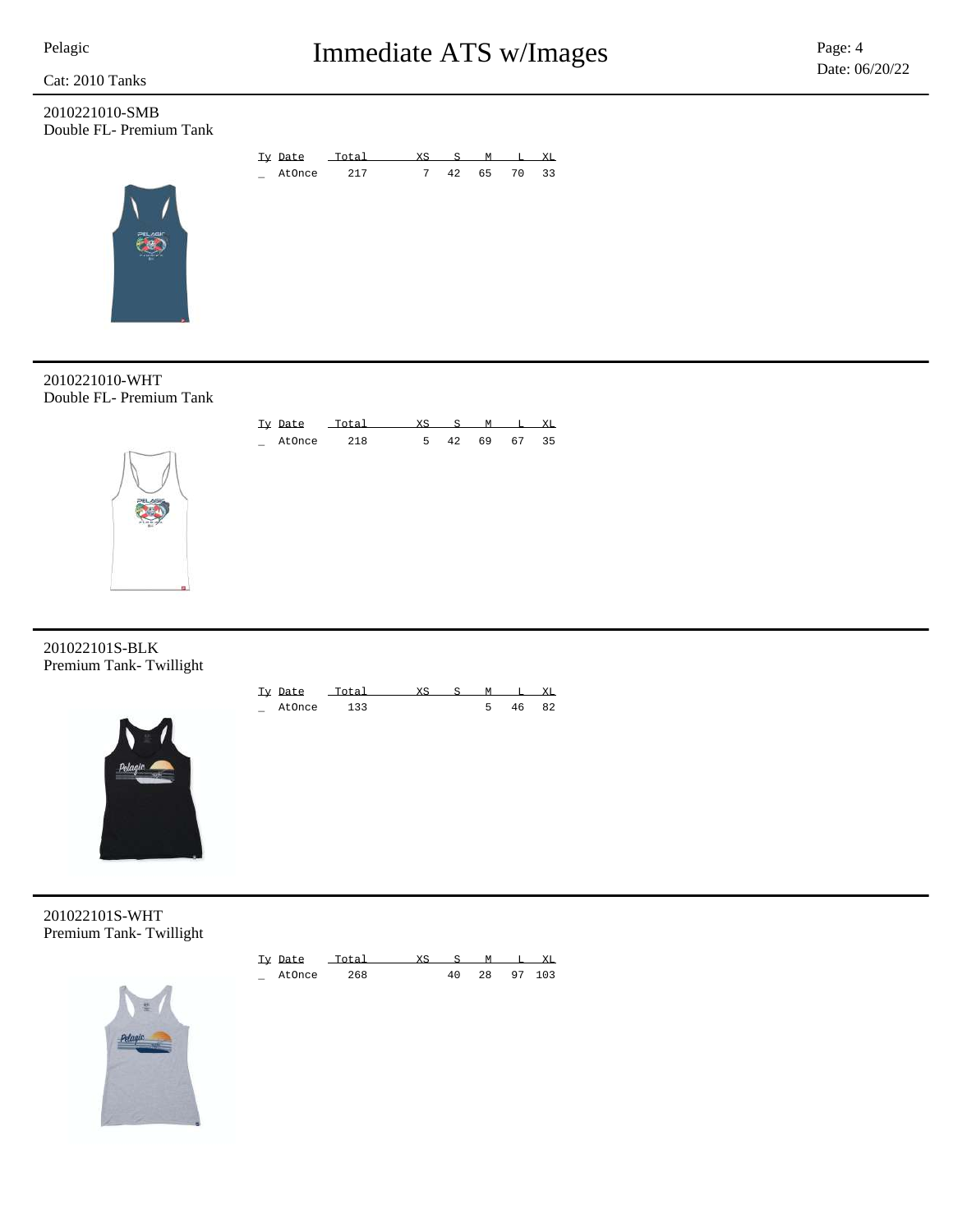

### 2010221010-SMB Double FL- Premium Tank







201022101S-BLK Premium Tank- Twillight



| Ty Date |     |  |    |    |
|---------|-----|--|----|----|
| AtOnce  | 122 |  | 46 | 82 |

201022101S-WHT Premium Tank- Twillight



| Ty Date | Total | <b>XS</b> | - 50 |    | XT.    |
|---------|-------|-----------|------|----|--------|
| AtOnce  | 268   |           |      | 28 | 97 103 |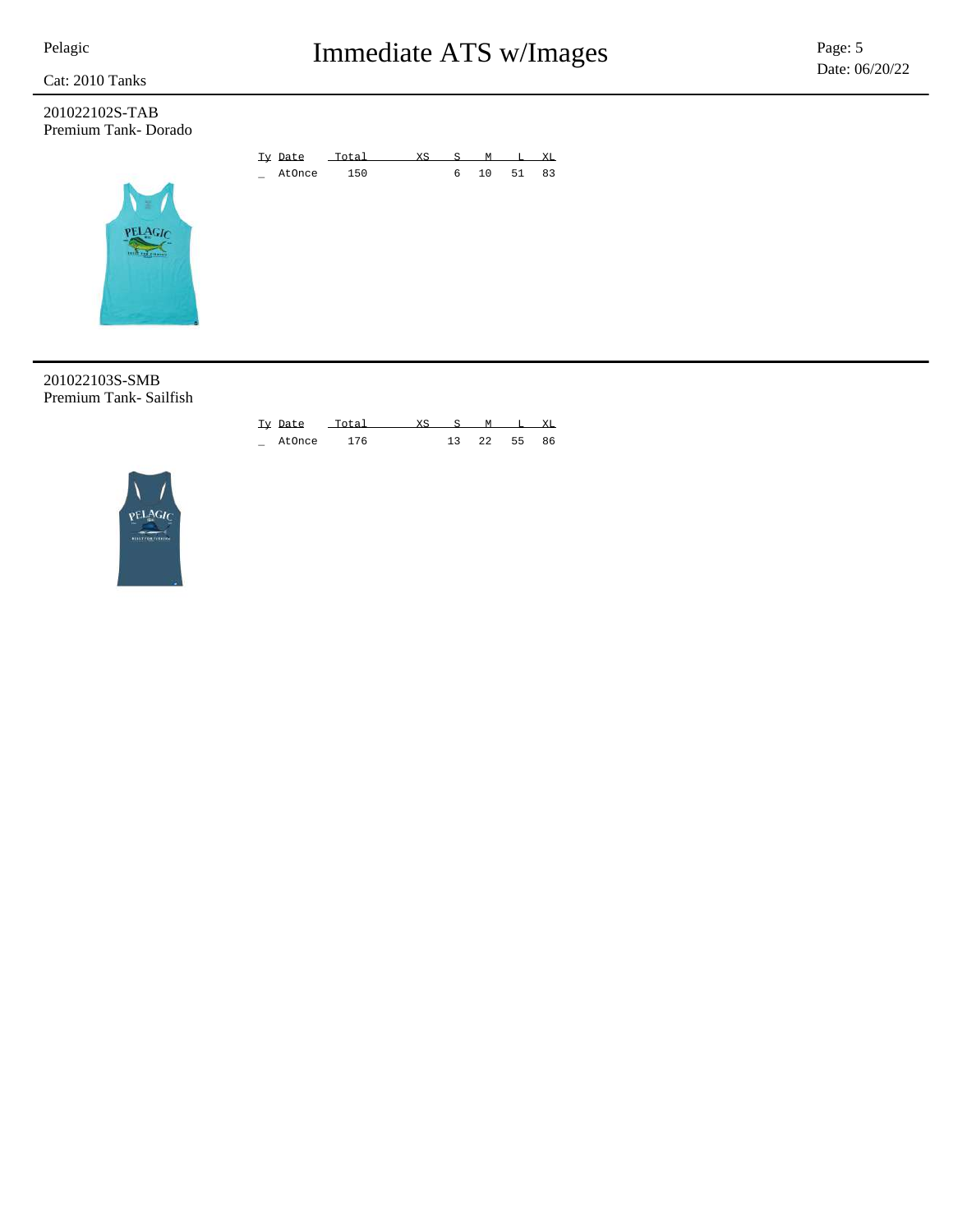### 201022102S-TAB Premium Tank- Dorado





### 201022103S-SMB Premium Tank- Sailfish

|                        |  | Ty Date Total XS S M T. |  |  | XT. |
|------------------------|--|-------------------------|--|--|-----|
| 13 22 55<br>AtOnce 176 |  |                         |  |  | 86  |

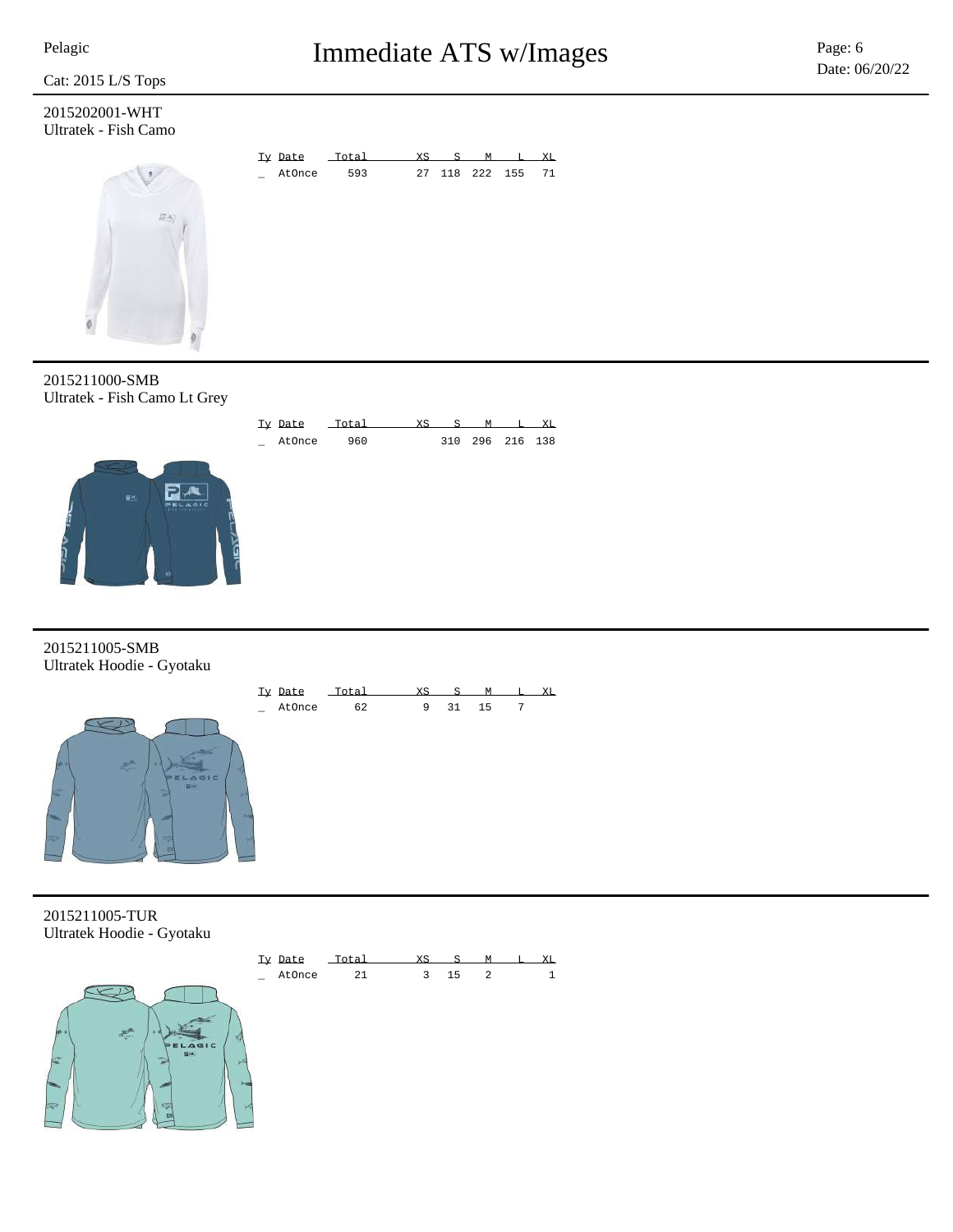2015202001-WHT Ultratek - Fish Camo



2015211000-SMB Ultratek - Fish Camo Lt Grey



2015211005-SMB Ultratek Hoodie - Gyotaku



2015211005-TUR Ultratek Hoodie - Gyotaku





\_ AtOnce 960 310 296 216 138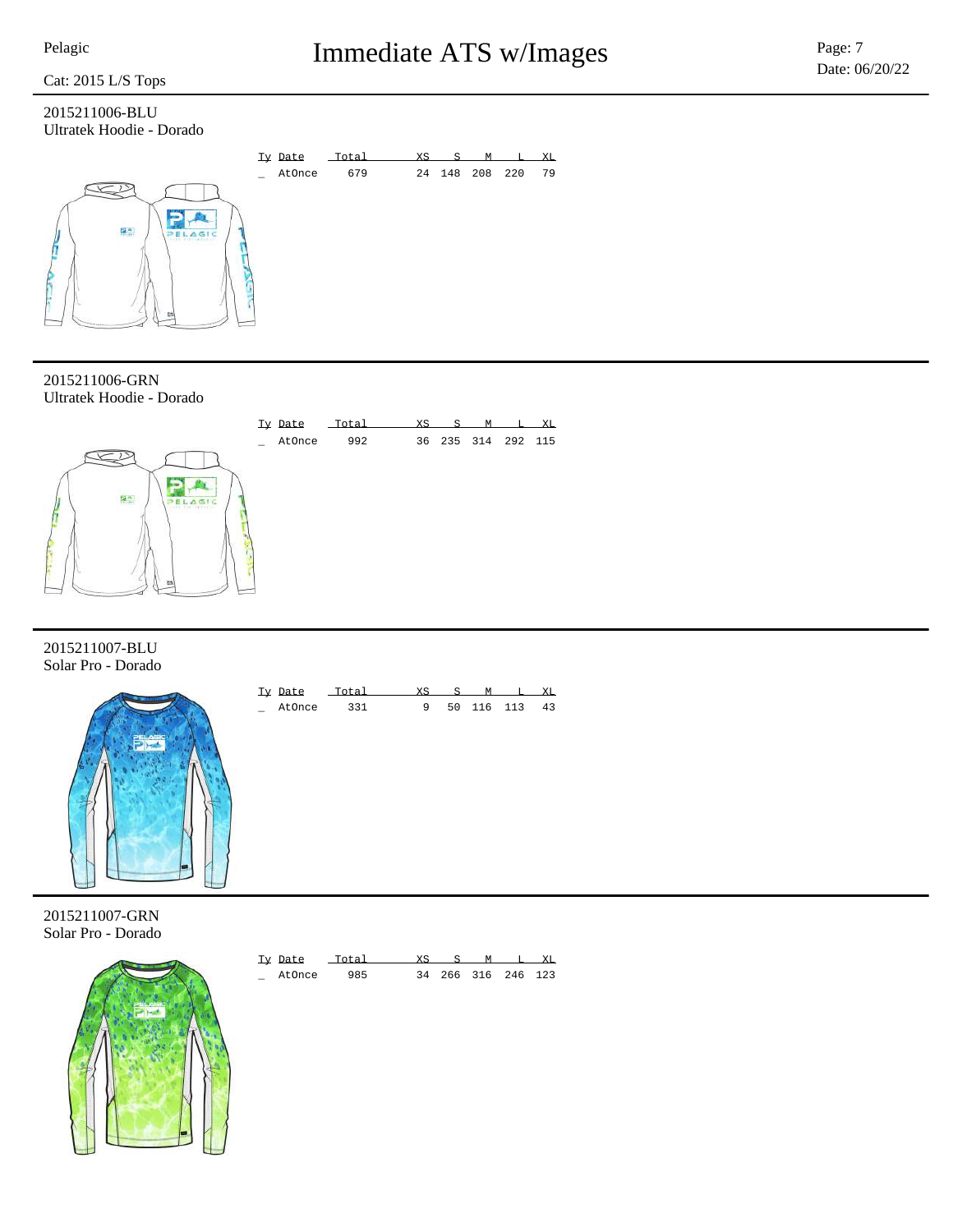### 2015211006-BLU Ultratek Hoodie - Dorado



2015211006-GRN Ultratek Hoodie - Dorado



2015211007-BLU Solar Pro - Dorado



| Ty Date | Total | XS       | M |            | XT. |
|---------|-------|----------|---|------------|-----|
| AtOnce  | 331   | $\alpha$ |   | 50 116 113 | 43  |

2015211007-GRN Solar Pro - Dorado



| Ty Date |     |  | м |                    | XT. |
|---------|-----|--|---|--------------------|-----|
| AtOnce  | 985 |  |   | 34 266 316 246 123 |     |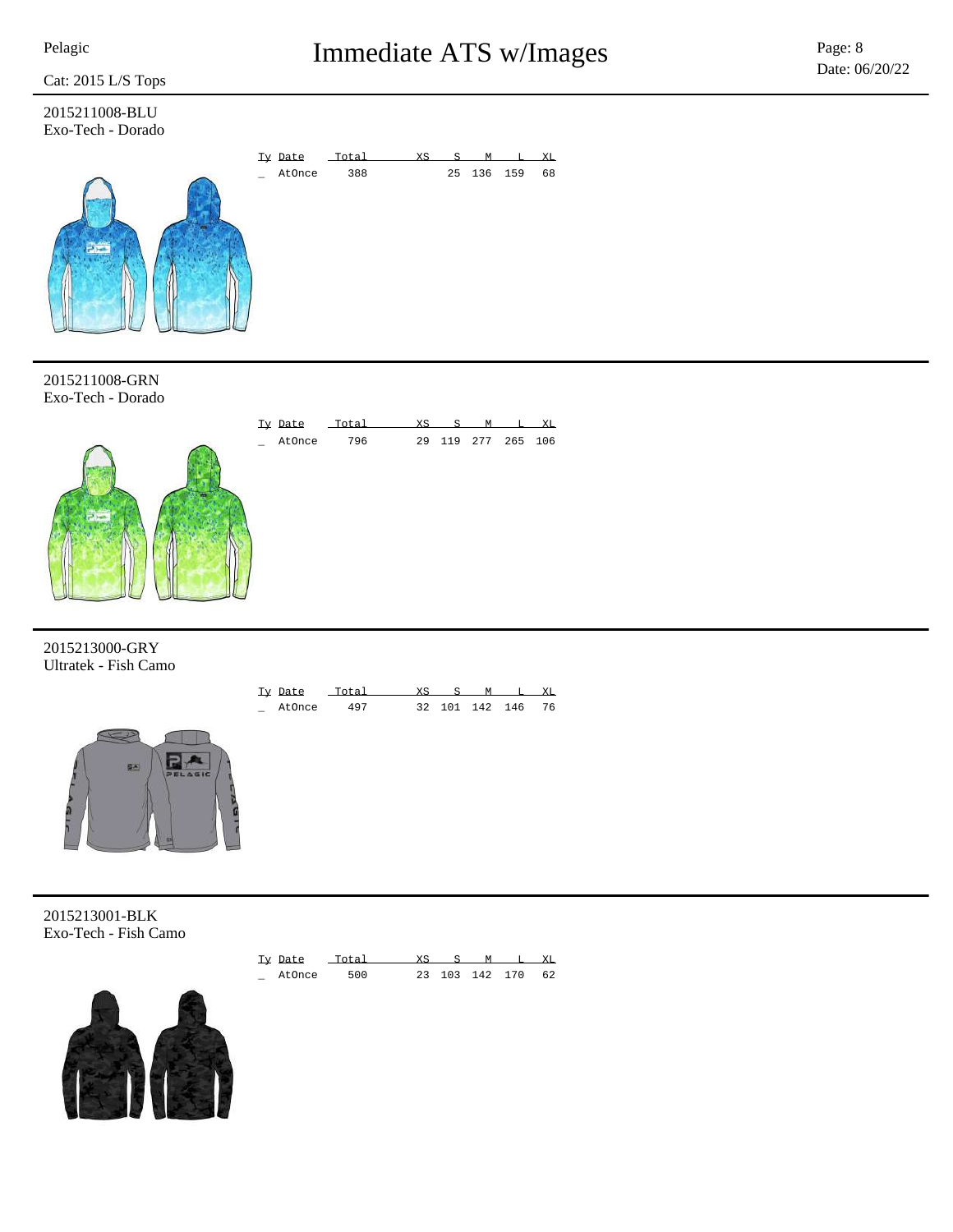2015211008-BLU Exo-Tech - Dorado



2015211008-GRN Exo-Tech - Dorado



2015213000-GRY Ultratek - Fish Camo



2015213001-BLK Exo-Tech - Fish Camo



| Ty Date | Total | $X \subseteq$ | M |                | XT. |
|---------|-------|---------------|---|----------------|-----|
| AtOnce  | 500   |               |   | 23 103 142 170 | 62  |

\_ AtOnce 497 32 101 142 146 76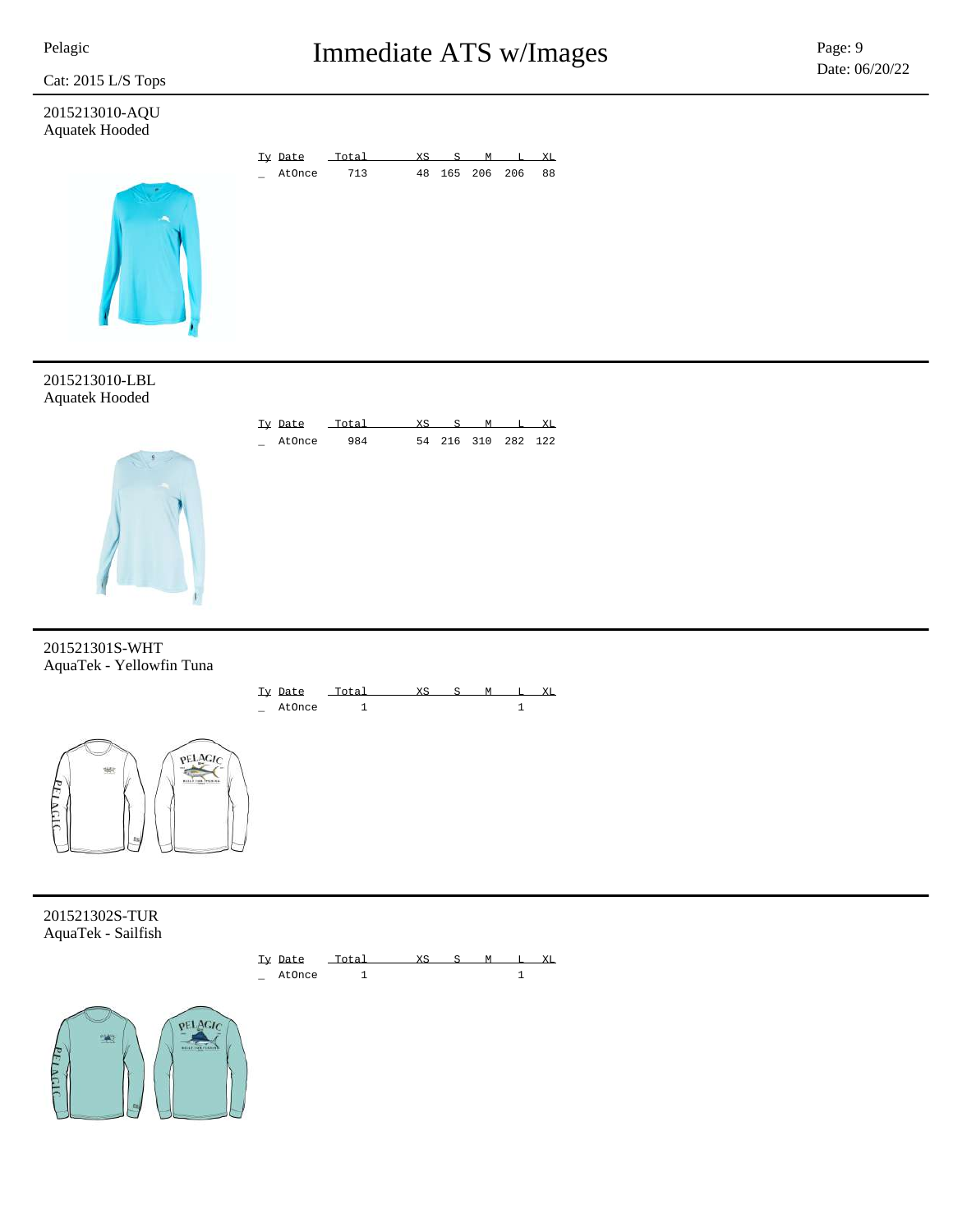

## Pelagic **Pelagic Page: 9** Immediate ATS w/Images Page: 9

### 2015213010-AQU Aquatek Hooded



2015213010-LBL Aquatek Hooded



201521301S-WHT AquaTek - Yellowfin Tuna



201521302S-TUR AquaTek - Sailfish

**ELAGI** 



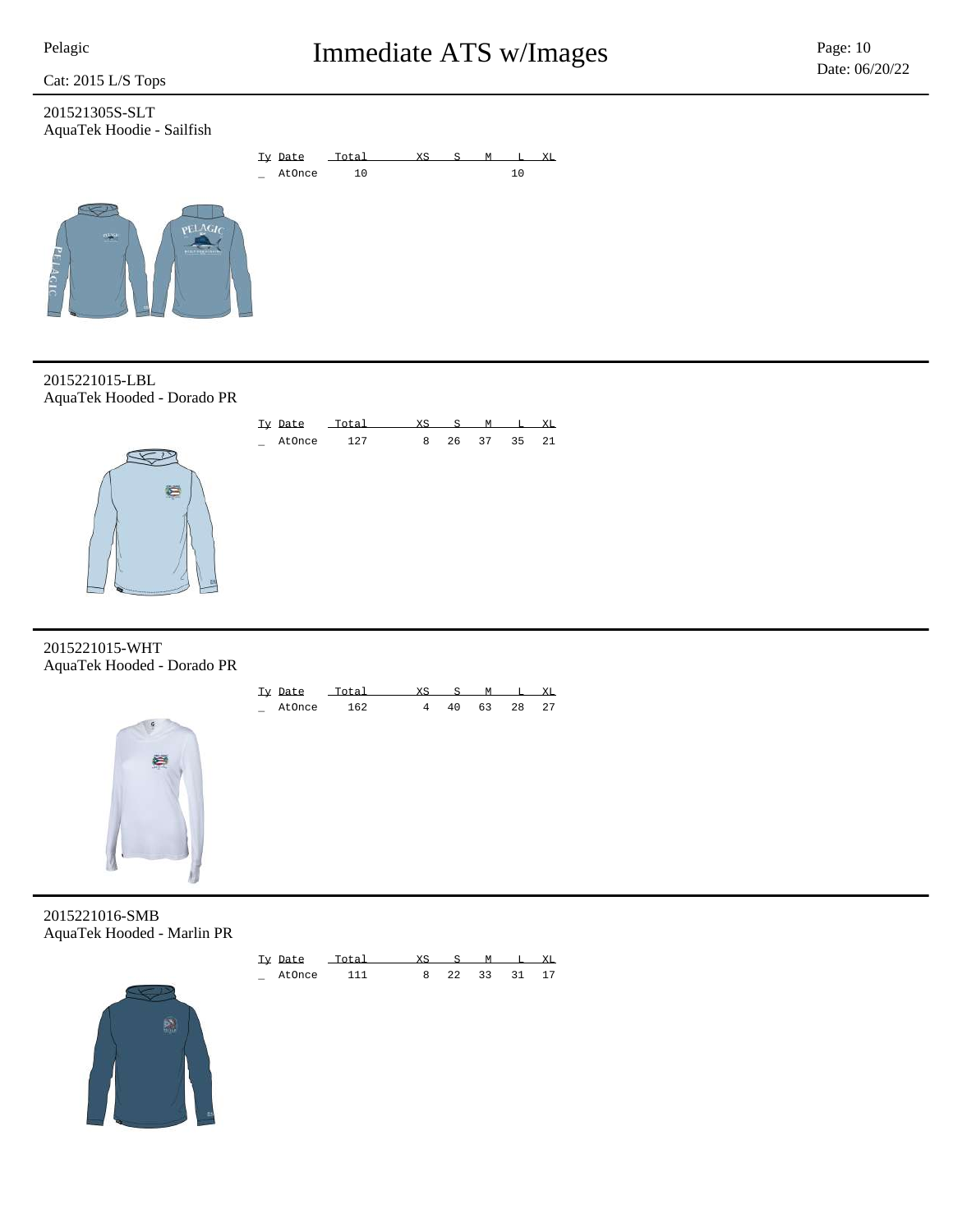201521305S-SLT AquaTek Hoodie - Sailfish



2015221015-LBL AquaTek Hooded - Dorado PR



2015221015-WHT AquaTek Hooded - Dorado PR



| Ty Date | $T \cap T = 1$ |     |    |      | XT. |
|---------|----------------|-----|----|------|-----|
| AtOnce  | 162            | 4 Q | 63 | - 28 | 27  |

2015221016-SMB AquaTek Hooded - Marlin PR



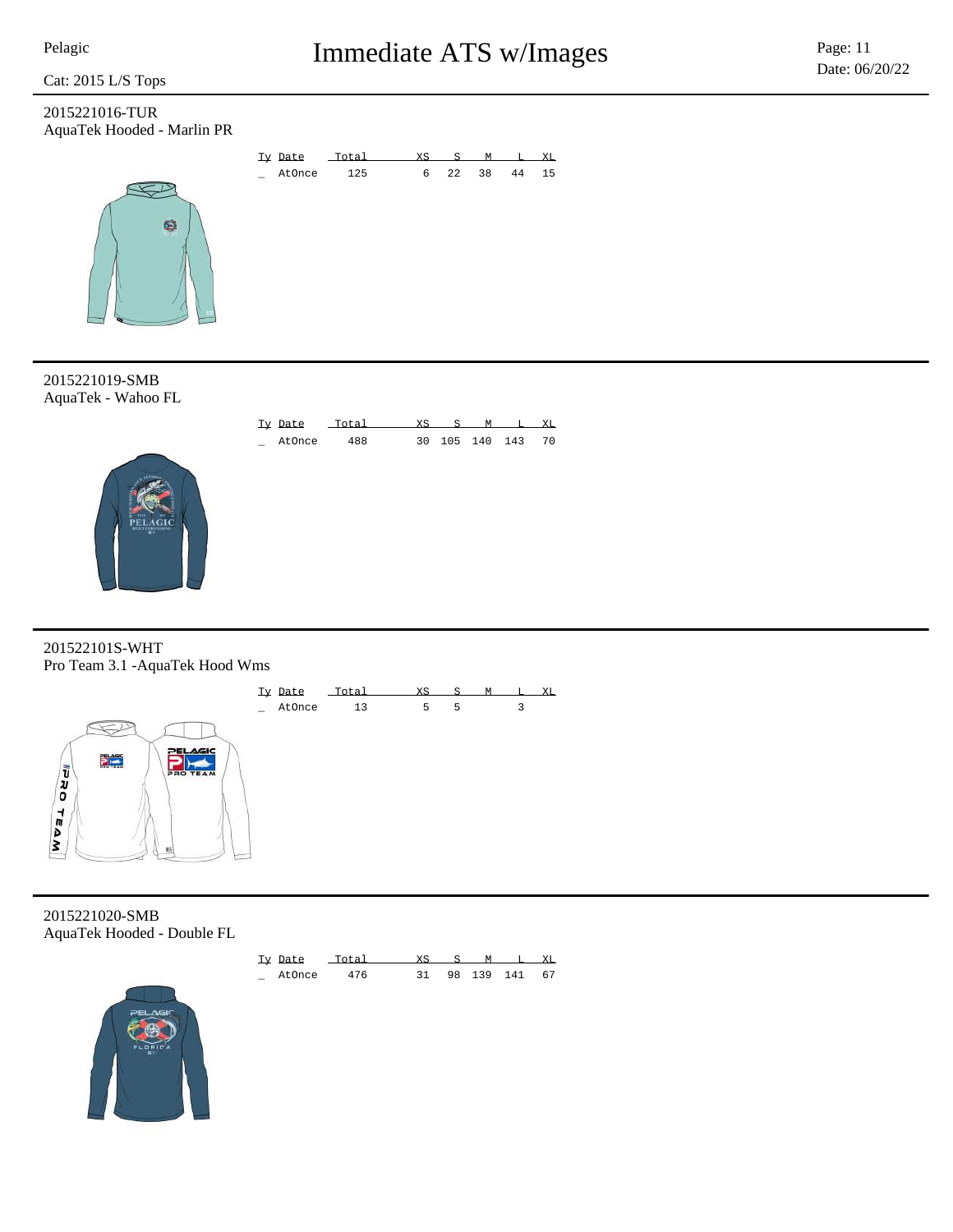2015221016-TUR AquaTek Hooded - Marlin PR





2015221019-SMB AquaTek - Wahoo FL



201522101S-WHT Pro Team 3.1 -AquaTek Hood Wms



2015221020-SMB AquaTek Hooded - Double FL



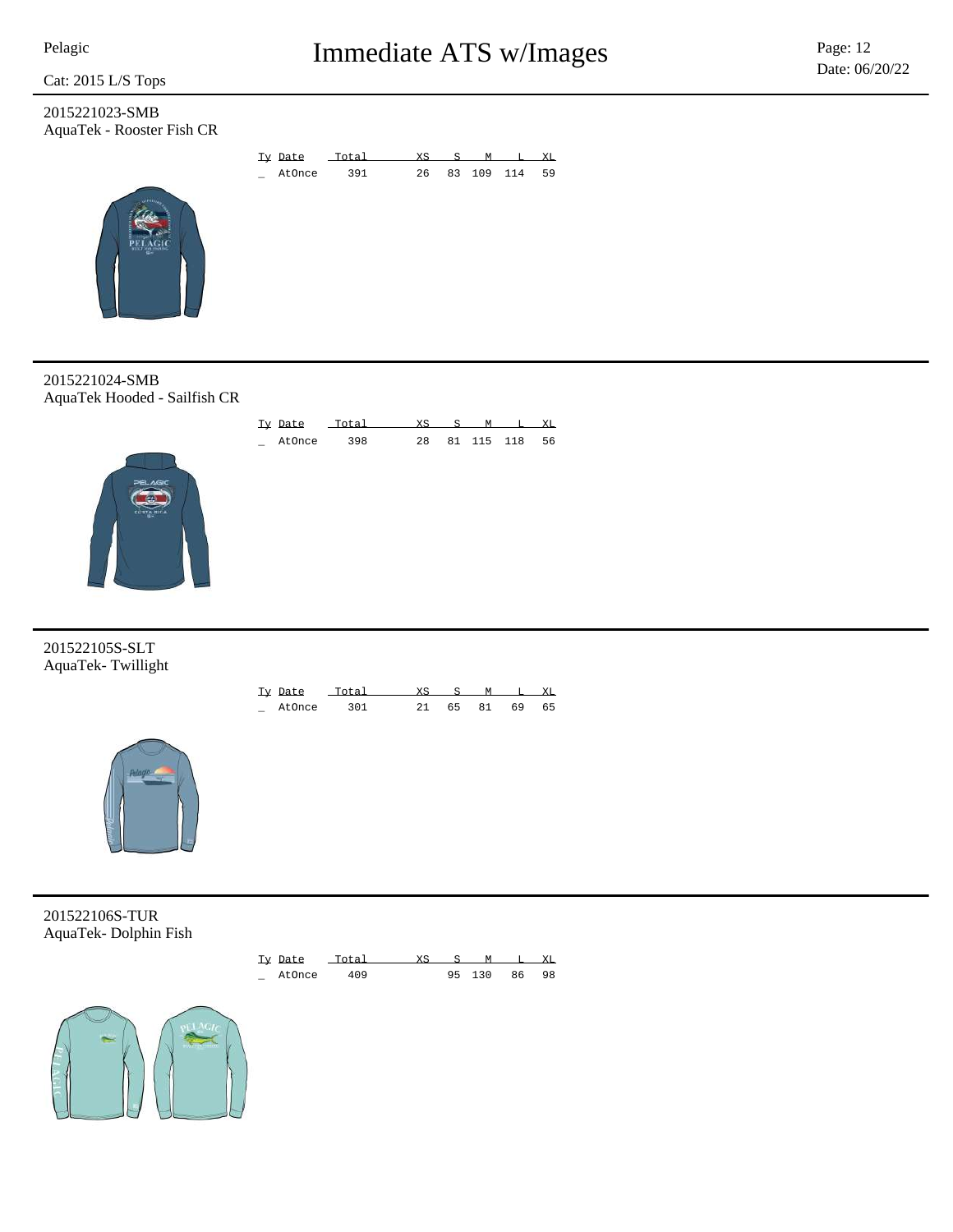2015221023-SMB AquaTek - Rooster Fish CR



Ty Date Total XS S M L XL \_ AtOnce 398 28 81 115 118 56

2015221024-SMB AquaTek Hooded - Sailfish CR



201522105S-SLT AquaTek- Twillight

| Ty Date |     |     | - 92 |    |    | XT. |
|---------|-----|-----|------|----|----|-----|
| AtOnce  | ว∩1 | -21 | 65   | 81 | 69 | 65  |



201522106S-TUR AquaTek- Dolphin Fish



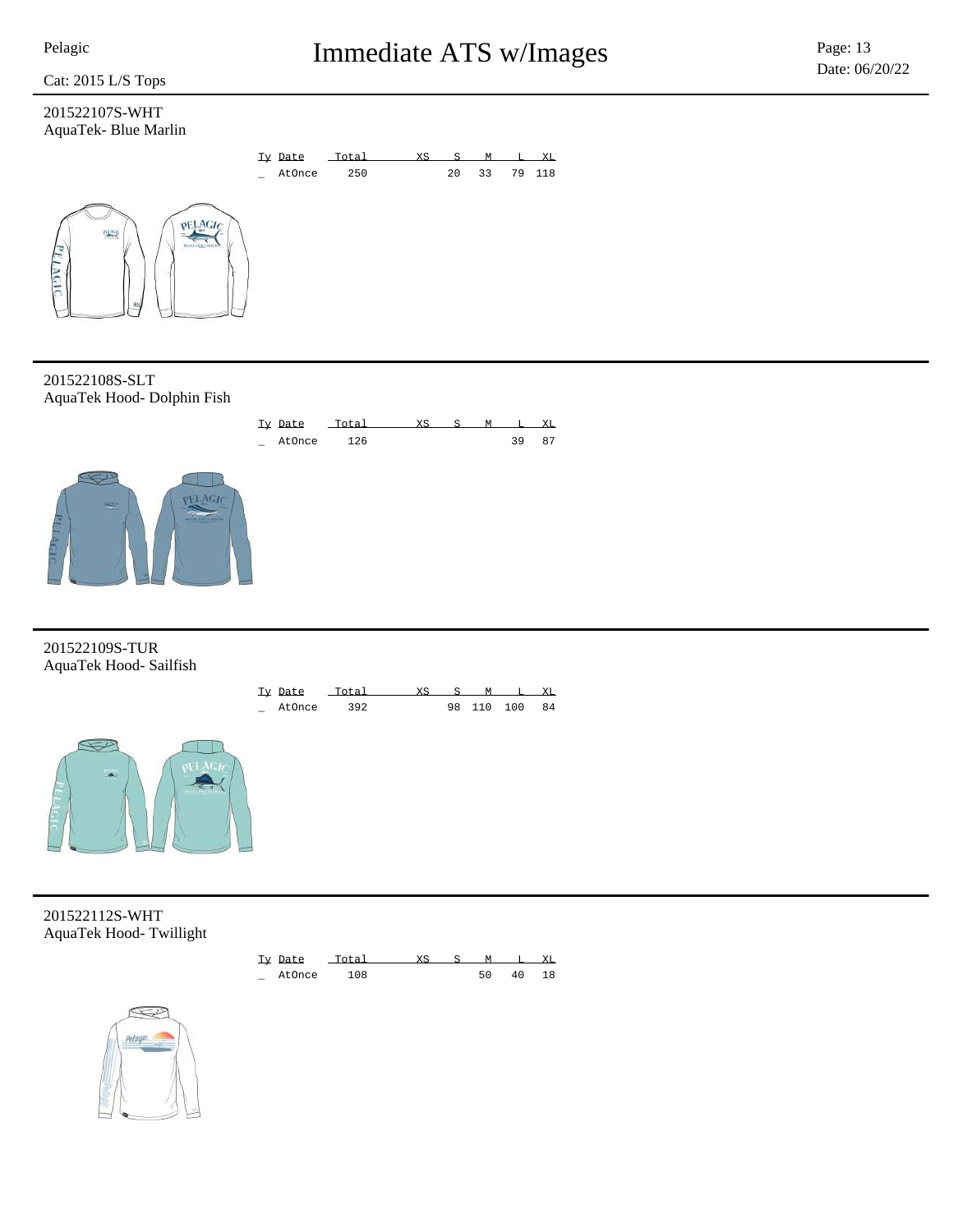**LAGI** 

### Cat: 2015 L/S Tops

### 201522107S-WHT AquaTek- Blue Marlin



201522108S-SLT AquaTek Hood- Dolphin Fish



201522109S-TUR AquaTek Hood- Sailfish



201522112S-WHT AquaTek Hood- Twillight



Ty Date Total XS S M L XL \_ AtOnce 392 98 110 100 84

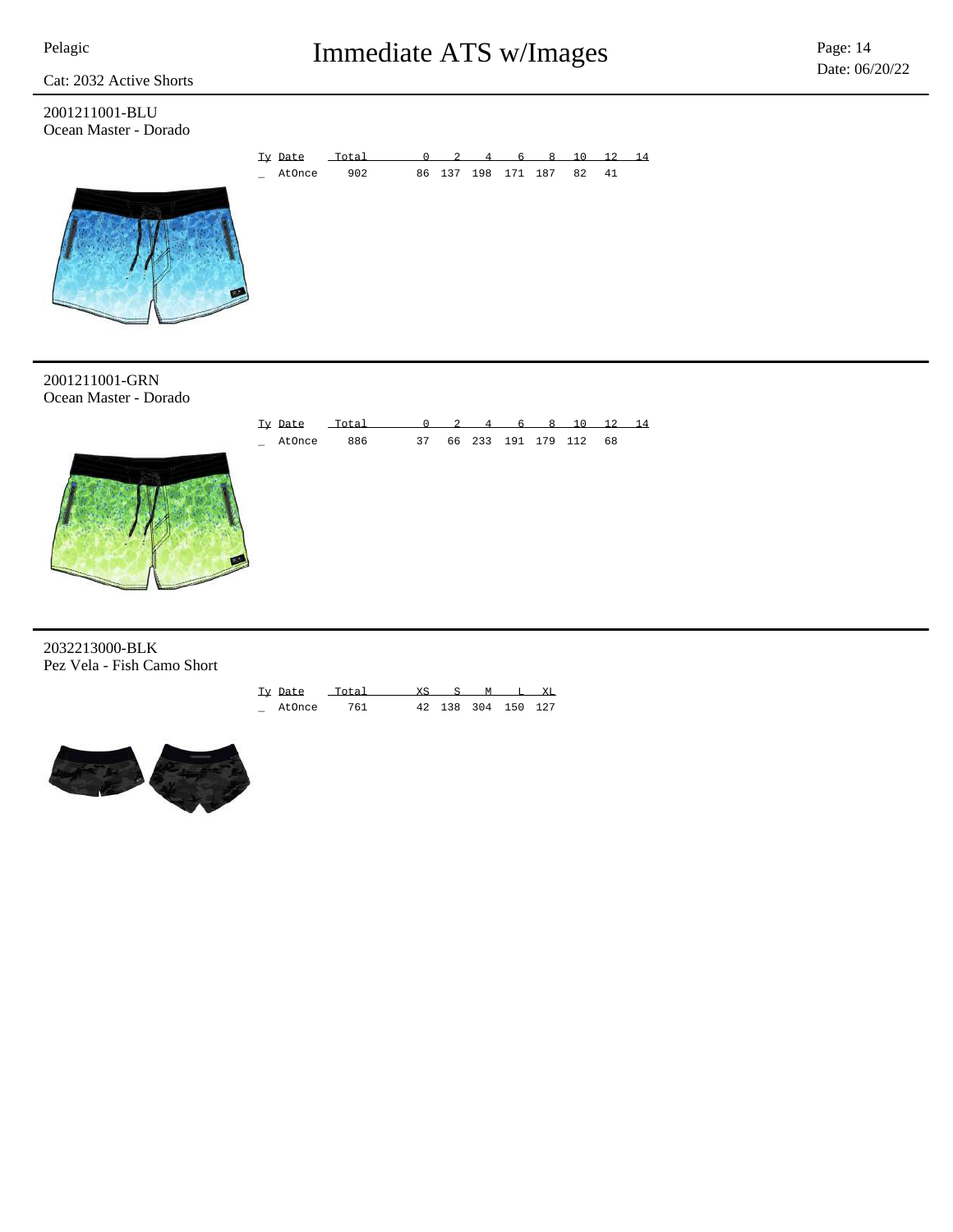Cat: 2032 Active Shorts

2001211001-BLU Ocean Master - Dorado



2001211001-GRN Ocean Master - Dorado



2032213000-BLK Pez Vela - Fish Camo Short

| Ty Date |     |  |                    | XT. |
|---------|-----|--|--------------------|-----|
| AtOnce  | 761 |  | 42 138 304 150 127 |     |

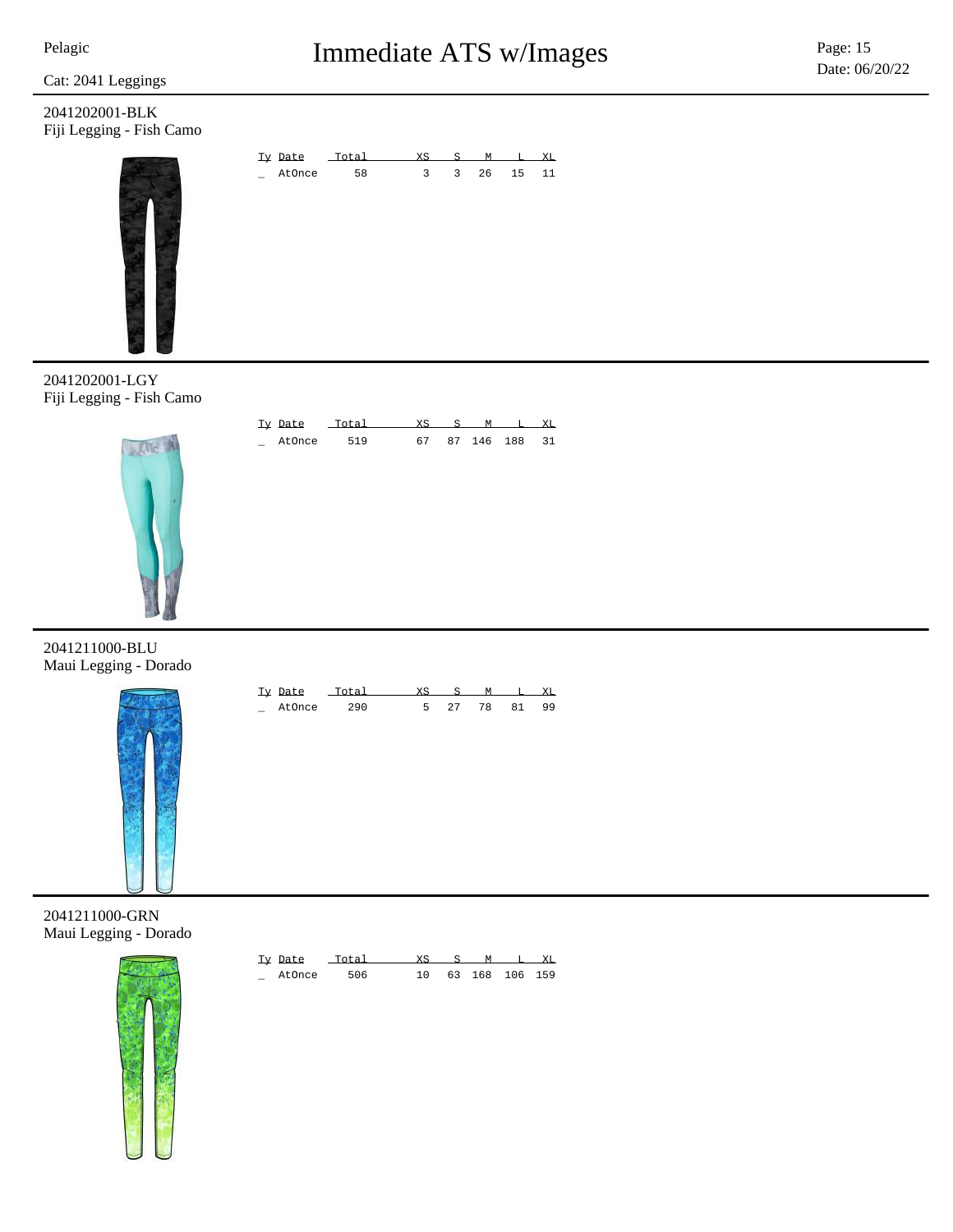Cat: 2041 Leggings

2041202001-BLK Fiji Legging - Fish Camo





Ty Date Total XS S M L XL \_ AtOnce 519 67 87 146 188 31

2041202001-LGY Fiji Legging - Fish Camo



2041211000-BLU Maui Legging - Dorado



| Tv Date |       |  |    |    |
|---------|-------|--|----|----|
| AtOnce  | 2 Q N |  | 81 | 99 |

2041211000-GRN Maui Legging - Dorado



| Ty Date |     | XS |  | M              | XT. |
|---------|-----|----|--|----------------|-----|
| AtOnce  | 506 |    |  | 63 168 106 159 |     |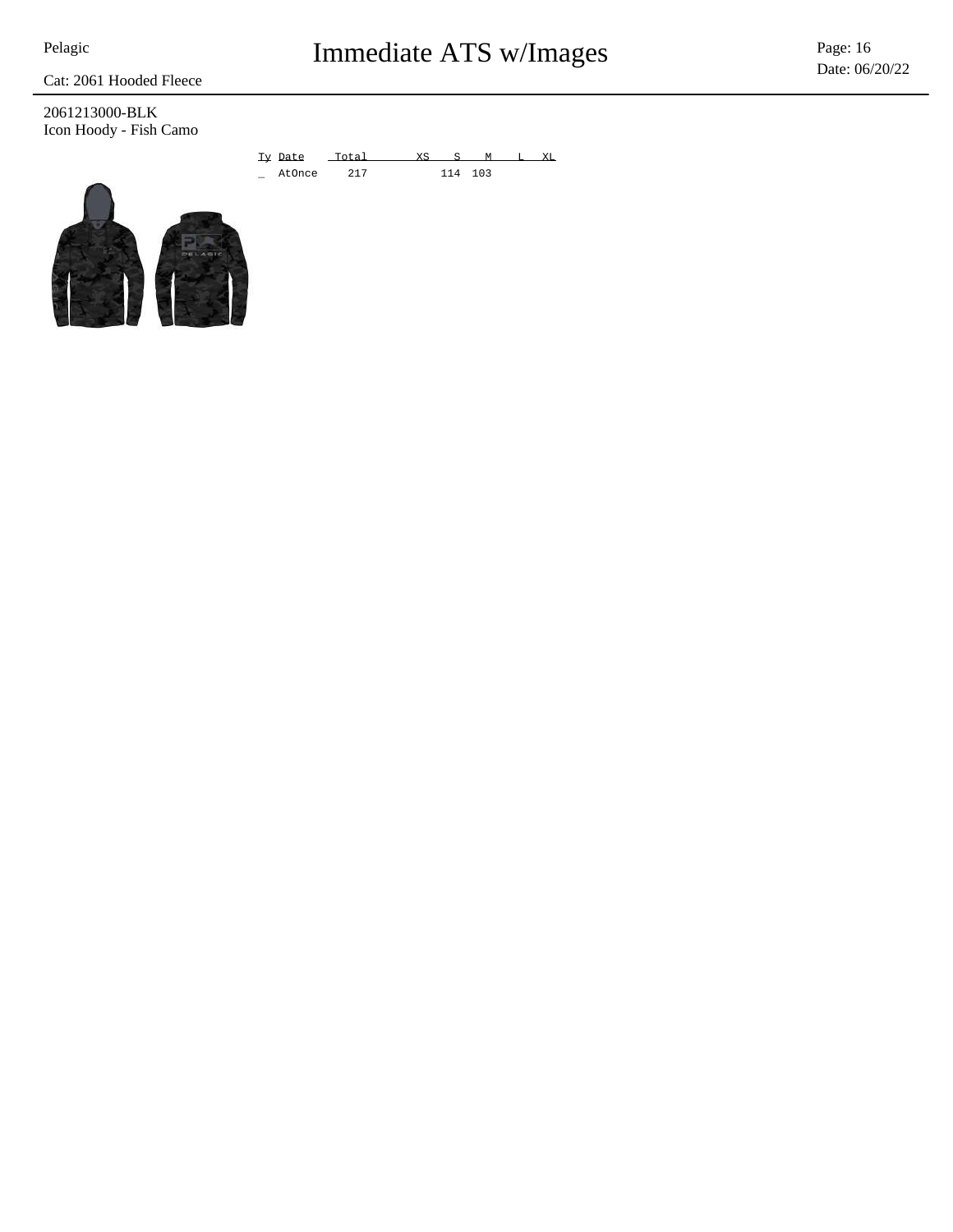Pelagic **Immediate ATS w/Images** Page: 16

Date: 06/20/22

Cat: 2061 Hooded Fleece

2061213000-BLK Icon Hoody - Fish Camo

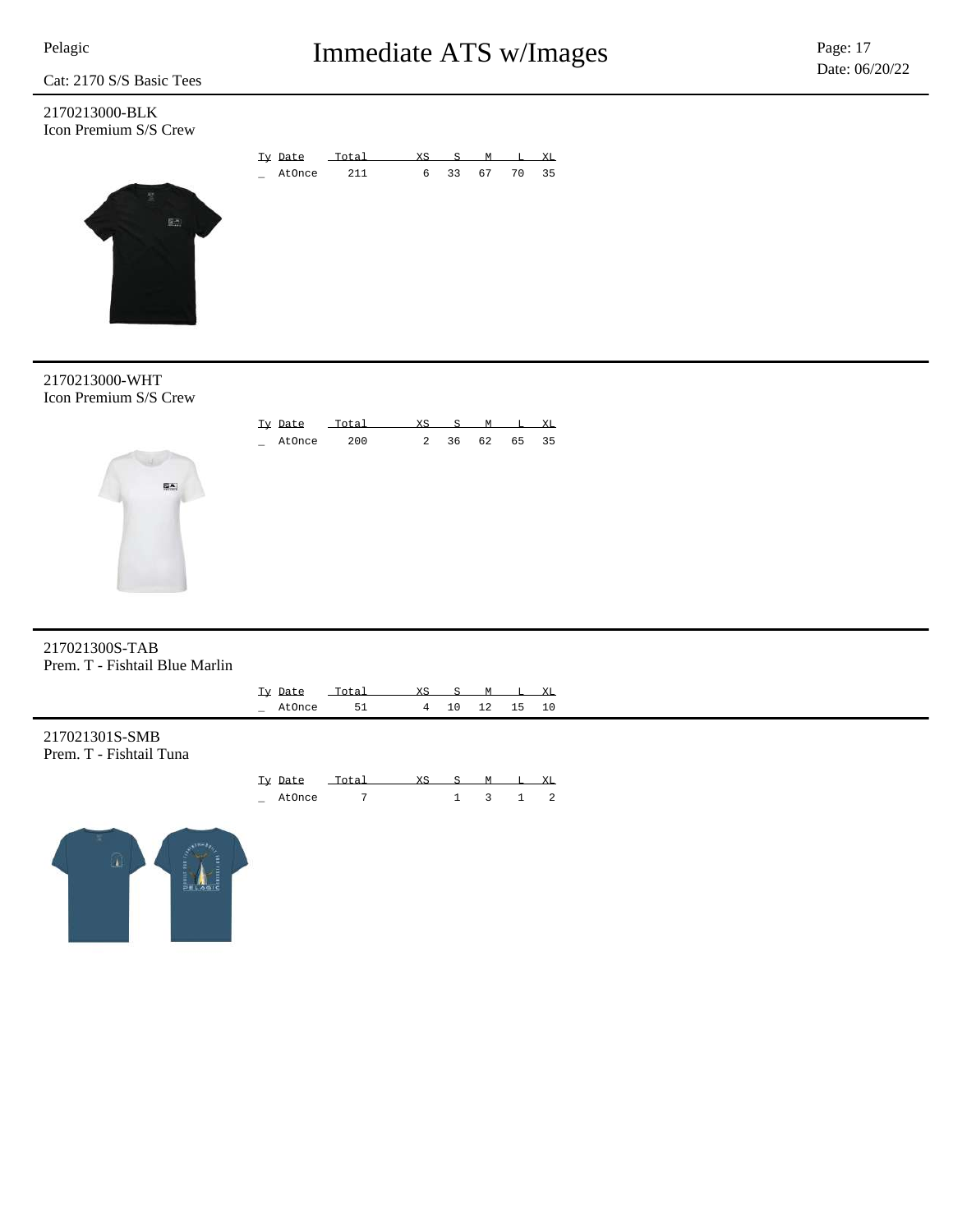2170213000-BLK Icon Premium S/S Crew





2170213000-WHT Icon Premium S/S Crew



### 217021300S-TAB Prem. T - Fishtail Blue Marlin

|                                           | Ty Date<br>_ AtOnce | Total<br>51 | XS_<br>4 | $\mathbf{S}$<br>10 | M<br>12 | 15                          | L XL<br>10 |
|-------------------------------------------|---------------------|-------------|----------|--------------------|---------|-----------------------------|------------|
| 217021301S-SMB<br>Prem. T - Fishtail Tuna |                     |             |          |                    |         |                             |            |
|                                           | Ty Date             | Total       | XS       | $^{\circ}$ S       |         | M L XL                      |            |
|                                           | _ AtOnce            | $7^{\circ}$ |          |                    |         | $1 \quad 3 \quad 1 \quad 2$ |            |
| $\cap$                                    |                     |             |          |                    |         |                             |            |

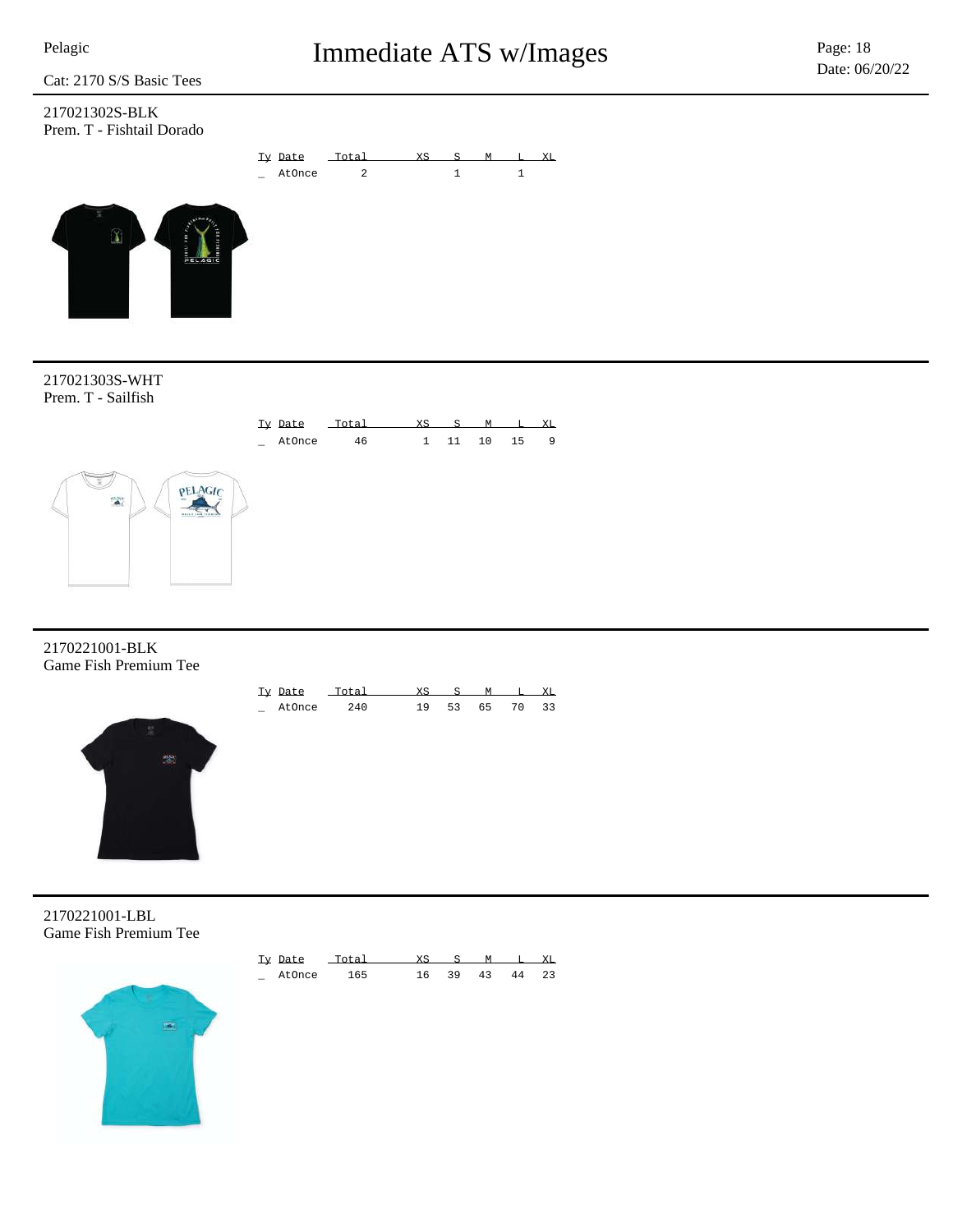### 217021302S-BLK Prem. T - Fishtail Dorado

 $\left( \mathbf{1}\right)$ 





2170221001-BLK Game Fish Premium Tee



| Tv Date | Totai |     |    |    |    | XT. |
|---------|-------|-----|----|----|----|-----|
| AtOnce  | 240   | 1 Q | 52 | 65 | 70 | る   |

2170221001-LBL Game Fish Premium Tee



| Ty Date | $T \cap T = 1$ | XS. |    | $S$ M T. |    | XT.  |
|---------|----------------|-----|----|----------|----|------|
| AtOnce  | 165            | 16. | 39 | 43       | 44 | - 23 |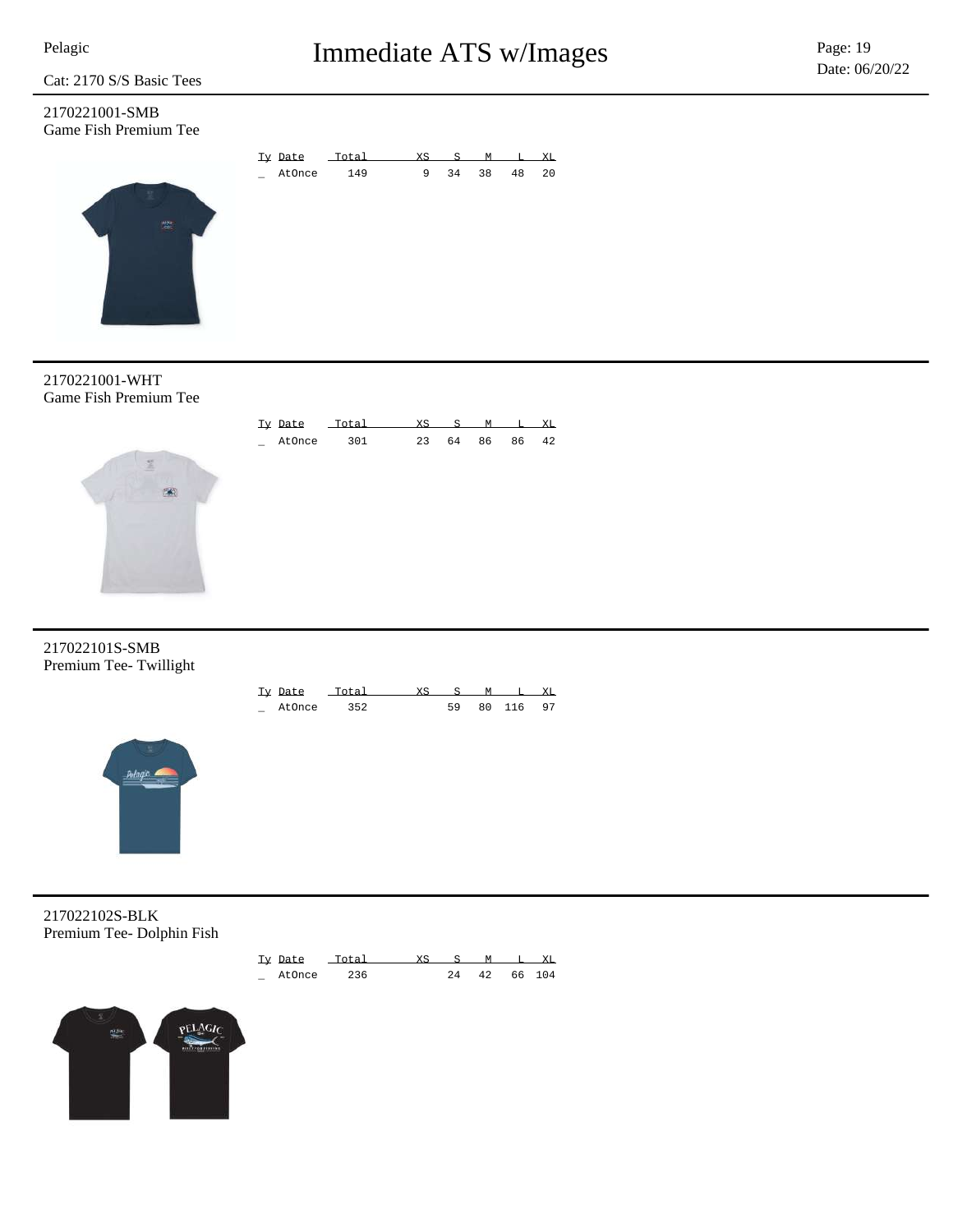### 2170221001-SMB Game Fish Premium Tee





2170221001-WHT Game Fish Premium Tee



### 217022101S-SMB Premium Tee- Twillight

| Tv Date | $T \cap T = I$ |    |        | УT. |
|---------|----------------|----|--------|-----|
| AtOnce  | コロー            | EΩ | 80 116 | 97  |



217022102S-BLK Premium Tee- Dolphin Fish



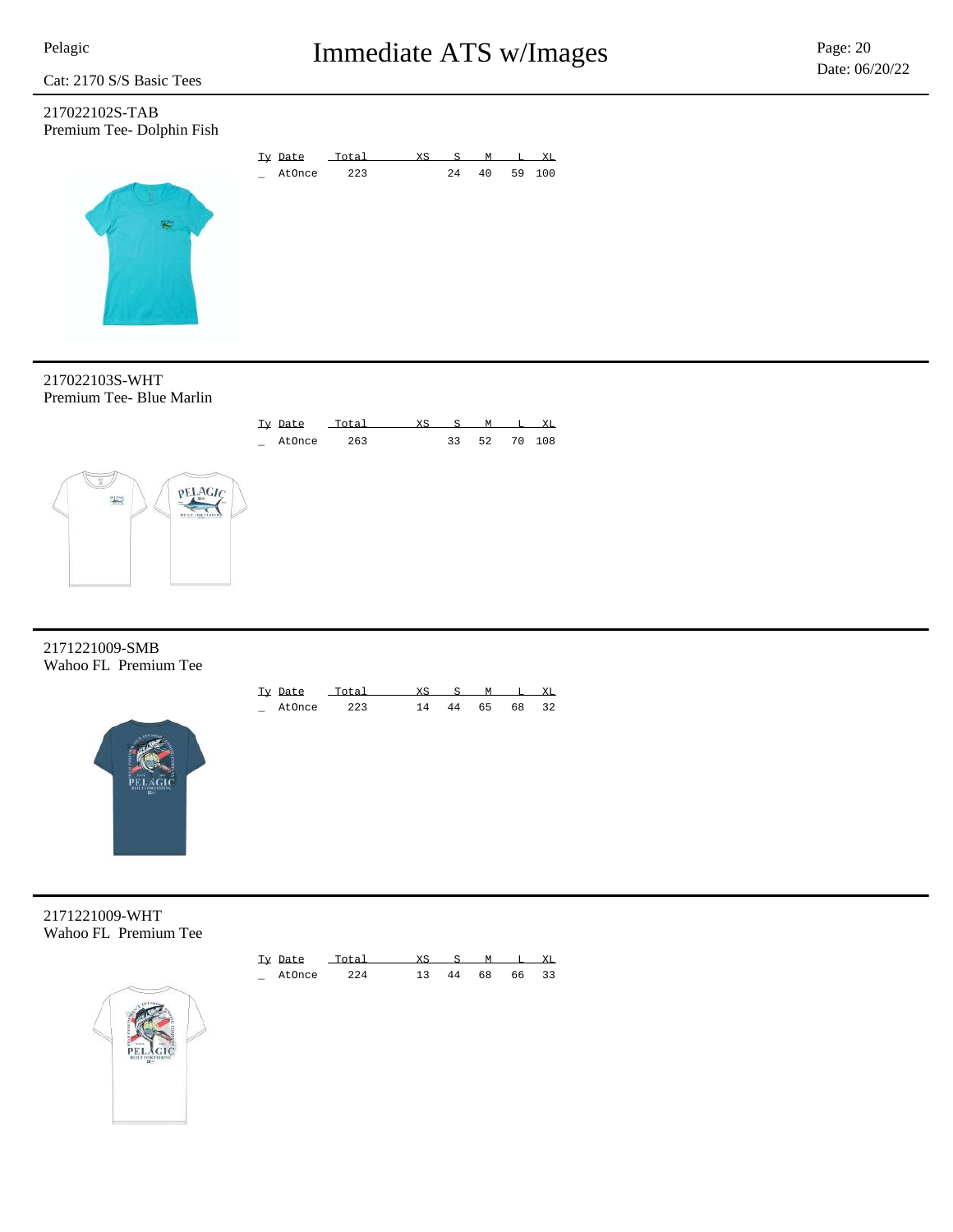217022102S-TAB Premium Tee- Dolphin Fish



217022103S-WHT Premium Tee- Blue Marlin



2171221009-SMB Wahoo FL Premium Tee



| Ty Date | Total |    |    |    | XL |
|---------|-------|----|----|----|----|
| AtOnce  | 223   | 44 | 65 | 68 | 32 |

2171221009-WHT Wahoo FL Premium Tee



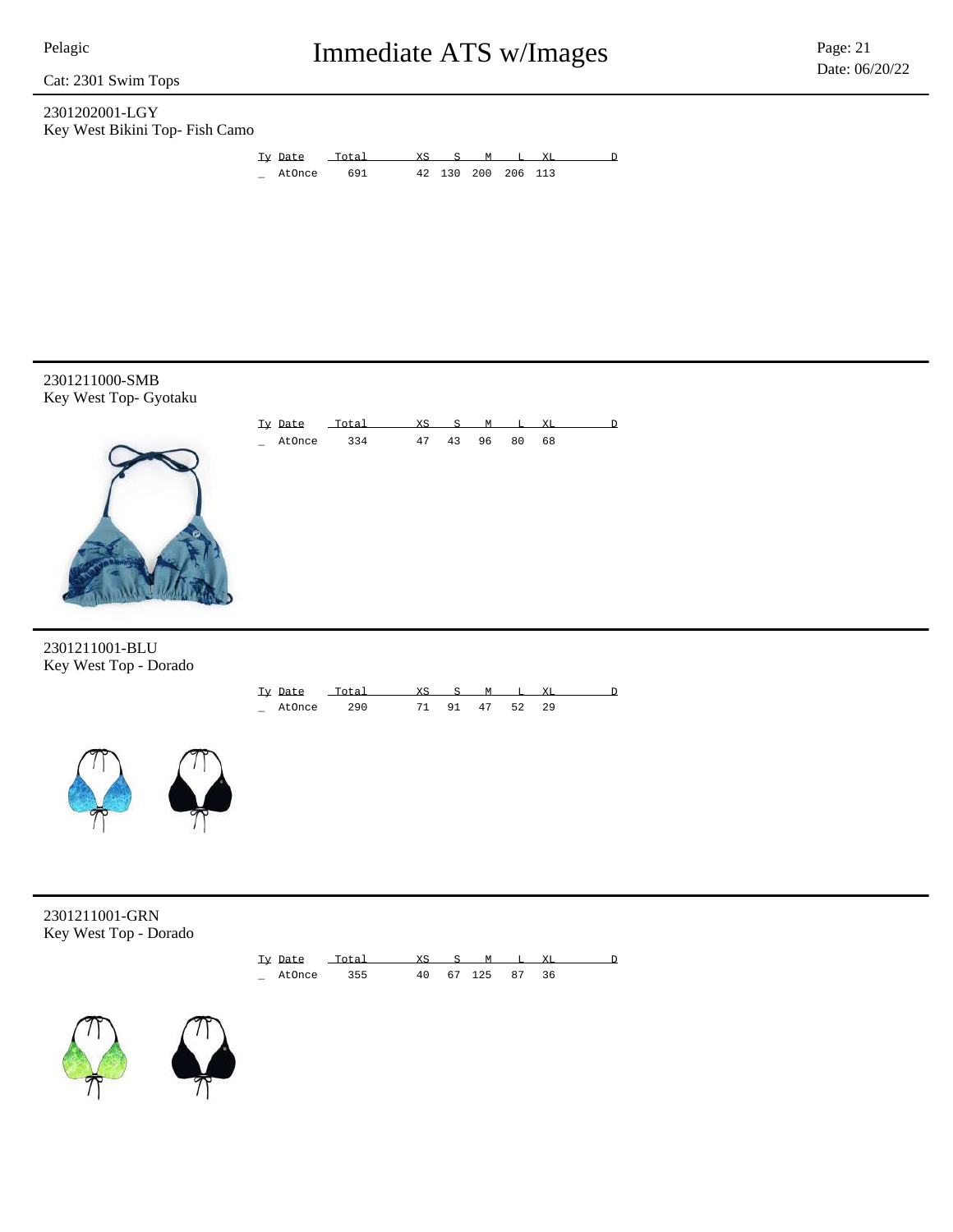Cat: 2301 Swim Tops

### 2301202001-LGY Key West Bikini Top- Fish Camo



Ty Date Total XS S M L XL D AtOnce 334 47 43 96 80 68

2301211000-SMB Key West Top- Gyotaku



### 2301211001-BLU Key West Top - Dorado





2301211001-GRN Key West Top - Dorado





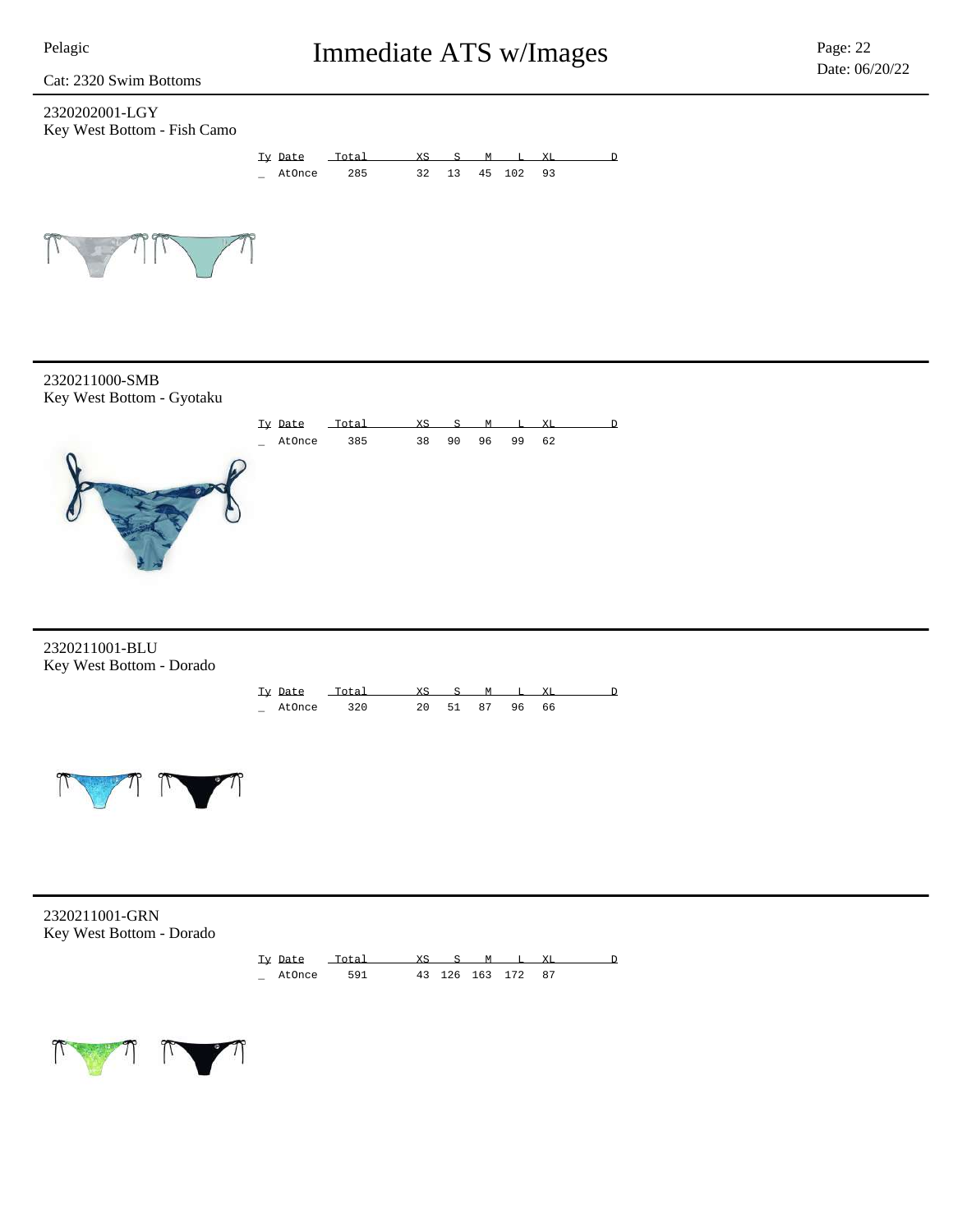Cat: 2320 Swim Bottoms

### 2320202001-LGY Key West Bottom - Fish Camo





2320211000-SMB Key West Bottom - Gyotaku



2320211001-BLU Key West Bottom - Dorado





2320211001-GRN Key West Bottom - Dorado



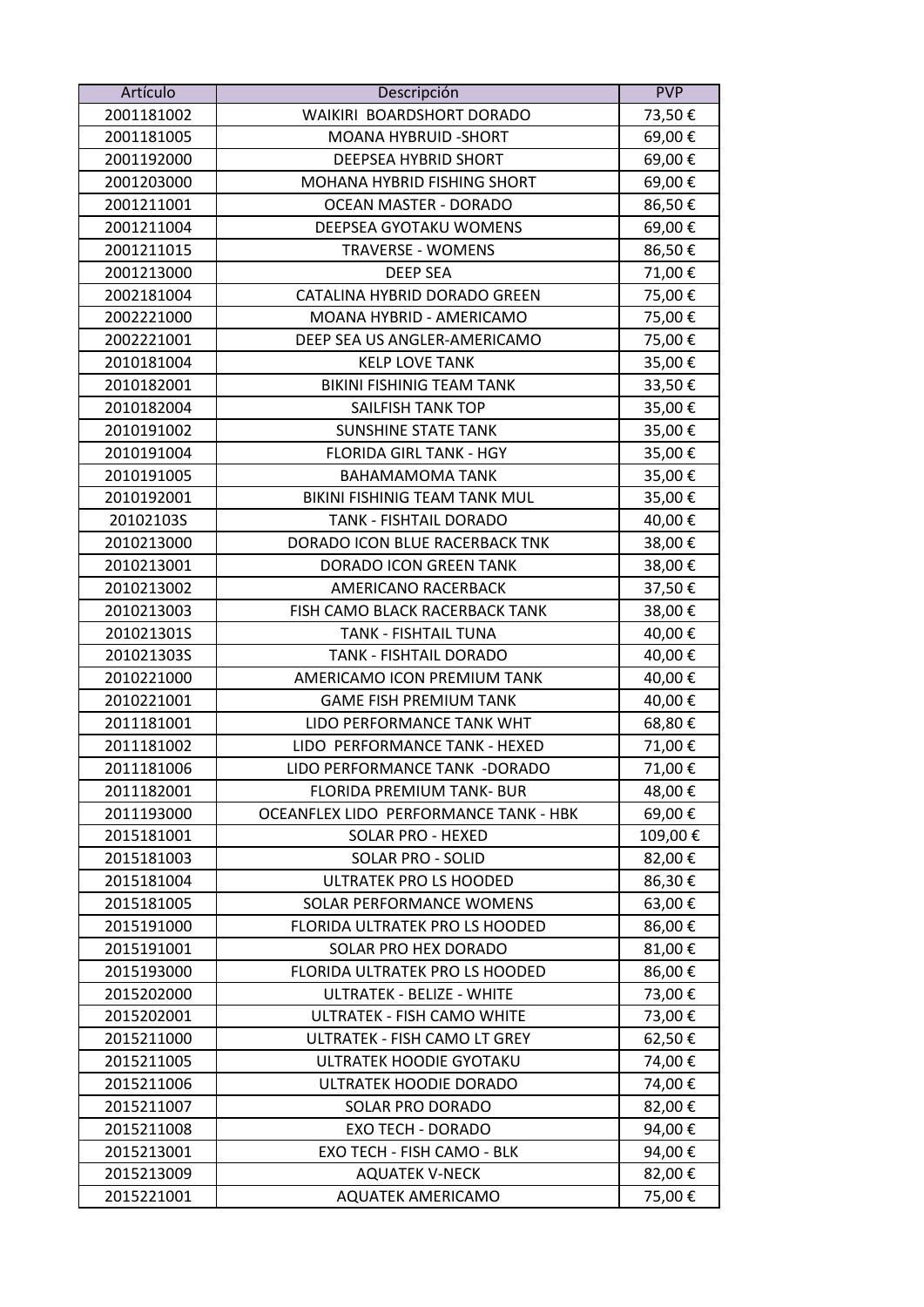| Artículo   | Descripción                           | <b>PVP</b> |
|------------|---------------------------------------|------------|
| 2001181002 | WAIKIRI BOARDSHORT DORADO             | 73,50€     |
| 2001181005 | MOANA HYBRUID - SHORT                 | 69,00€     |
| 2001192000 | DEEPSEA HYBRID SHORT                  | 69,00€     |
| 2001203000 | MOHANA HYBRID FISHING SHORT           | 69,00€     |
| 2001211001 | OCEAN MASTER - DORADO                 | 86,50€     |
| 2001211004 | DEEPSEA GYOTAKU WOMENS                | 69,00€     |
| 2001211015 | <b>TRAVERSE - WOMENS</b>              | 86,50€     |
| 2001213000 | <b>DEEP SEA</b>                       | 71,00€     |
| 2002181004 | CATALINA HYBRID DORADO GREEN          | 75,00€     |
| 2002221000 | MOANA HYBRID - AMERICAMO              | 75,00€     |
| 2002221001 | DEEP SEA US ANGLER-AMERICAMO          | 75,00€     |
| 2010181004 | <b>KELP LOVE TANK</b>                 | 35,00€     |
| 2010182001 | <b>BIKINI FISHINIG TEAM TANK</b>      | 33,50€     |
| 2010182004 | SAILFISH TANK TOP                     | 35,00€     |
| 2010191002 | <b>SUNSHINE STATE TANK</b>            | 35,00€     |
| 2010191004 | <b>FLORIDA GIRL TANK - HGY</b>        | 35,00€     |
| 2010191005 | <b>BAHAMAMOMA TANK</b>                | 35,00€     |
| 2010192001 | BIKINI FISHINIG TEAM TANK MUL         | 35,00€     |
| 20102103S  | TANK - FISHTAIL DORADO                | 40,00€     |
| 2010213000 | DORADO ICON BLUE RACERBACK TNK        | 38,00€     |
| 2010213001 | DORADO ICON GREEN TANK                | 38,00€     |
| 2010213002 | AMERICANO RACERBACK                   | 37,50€     |
| 2010213003 | FISH CAMO BLACK RACERBACK TANK        | 38,00€     |
| 201021301S | TANK - FISHTAIL TUNA                  | 40,00€     |
| 201021303S | TANK - FISHTAIL DORADO                | 40,00€     |
| 2010221000 | AMERICAMO ICON PREMIUM TANK           | 40,00€     |
| 2010221001 | <b>GAME FISH PREMIUM TANK</b>         | 40,00€     |
| 2011181001 | LIDO PERFORMANCE TANK WHT             | 68,80€     |
| 2011181002 | LIDO PERFORMANCE TANK - HEXED         | 71,00€     |
| 2011181006 | LIDO PERFORMANCE TANK -DORADO         | 71,00€     |
| 2011182001 | <b>FLORIDA PREMIUM TANK- BUR</b>      | 48,00€     |
| 2011193000 | OCEANFLEX LIDO PERFORMANCE TANK - HBK | 69,00€     |
| 2015181001 | SOLAR PRO - HEXED                     | 109,00€    |
| 2015181003 | <b>SOLAR PRO - SOLID</b>              | 82,00€     |
| 2015181004 | ULTRATEK PRO LS HOODED                | 86,30€     |
| 2015181005 | SOLAR PERFORMANCE WOMENS              | 63,00€     |
| 2015191000 | FLORIDA ULTRATEK PRO LS HOODED        | 86,00€     |
| 2015191001 | SOLAR PRO HEX DORADO                  | 81,00€     |
| 2015193000 | FLORIDA ULTRATEK PRO LS HOODED        | 86,00€     |
| 2015202000 | <b>ULTRATEK - BELIZE - WHITE</b>      | 73,00€     |
| 2015202001 | ULTRATEK - FISH CAMO WHITE            | 73,00€     |
| 2015211000 | ULTRATEK - FISH CAMO LT GREY          | 62,50€     |
| 2015211005 | ULTRATEK HOODIE GYOTAKU               | 74,00€     |
| 2015211006 | ULTRATEK HOODIE DORADO                | 74,00€     |
| 2015211007 | SOLAR PRO DORADO                      | 82,00€     |
| 2015211008 | <b>EXO TECH - DORADO</b>              | 94,00€     |
| 2015213001 | EXO TECH - FISH CAMO - BLK            | 94,00€     |
| 2015213009 | <b>AQUATEK V-NECK</b>                 | 82,00€     |
| 2015221001 | AQUATEK AMERICAMO                     | 75,00€     |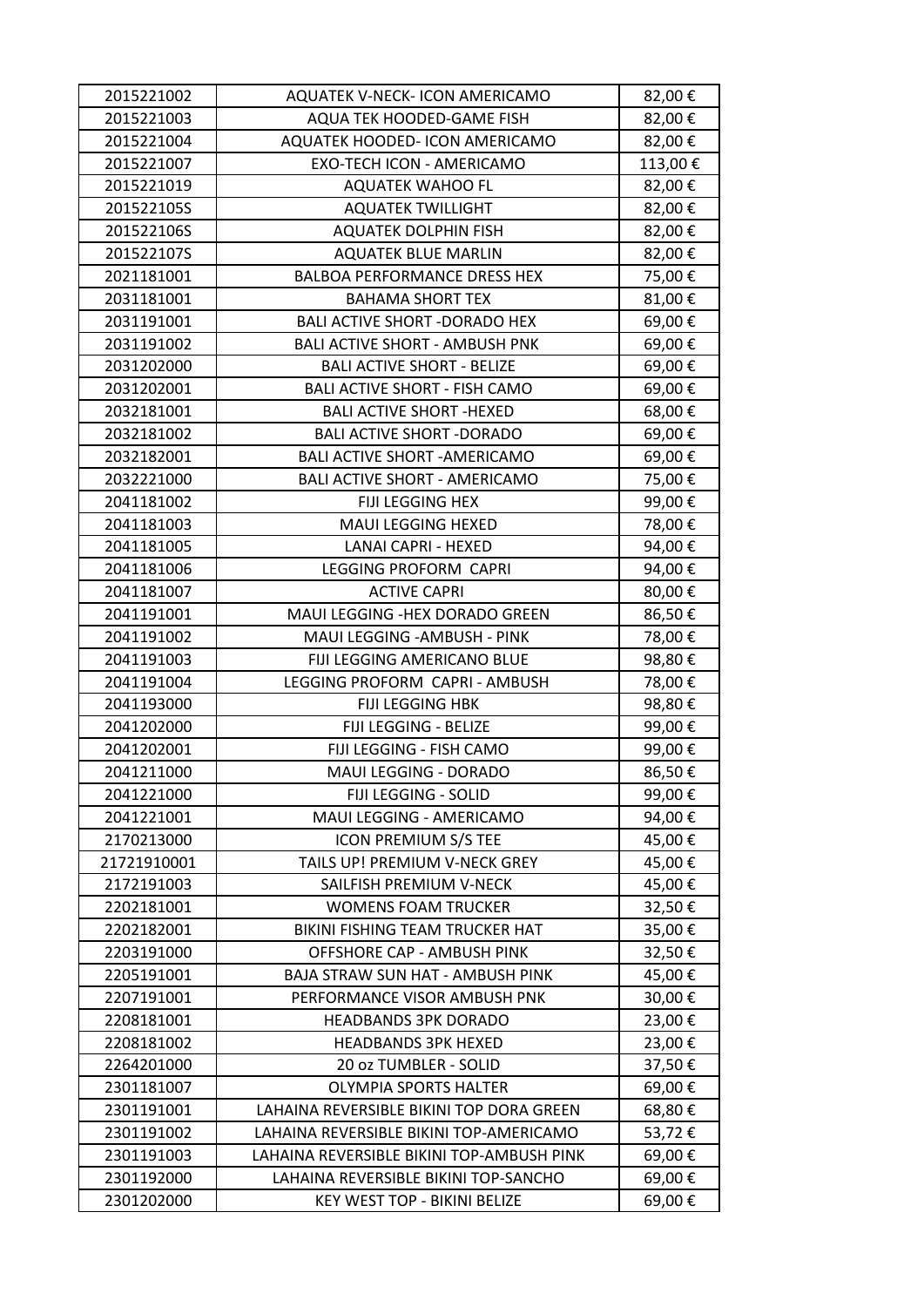| 2015221002  | AQUATEK V-NECK- ICON AMERICAMO            | 82,00€  |
|-------------|-------------------------------------------|---------|
| 2015221003  | AQUA TEK HOODED-GAME FISH                 | 82,00€  |
| 2015221004  | AQUATEK HOODED- ICON AMERICAMO            | 82,00€  |
| 2015221007  | EXO-TECH ICON - AMERICAMO                 | 113,00€ |
| 2015221019  | <b>AQUATEK WAHOO FL</b>                   | 82,00€  |
| 201522105S  | <b>AQUATEK TWILLIGHT</b>                  | 82,00€  |
| 201522106S  | <b>AQUATEK DOLPHIN FISH</b>               | 82,00€  |
| 201522107S  | <b>AQUATEK BLUE MARLIN</b>                | 82,00€  |
| 2021181001  | <b>BALBOA PERFORMANCE DRESS HEX</b>       | 75,00€  |
| 2031181001  | <b>BAHAMA SHORT TEX</b>                   | 81,00€  |
| 2031191001  | <b>BALI ACTIVE SHORT - DORADO HEX</b>     | 69,00€  |
| 2031191002  | <b>BALI ACTIVE SHORT - AMBUSH PNK</b>     | 69,00€  |
| 2031202000  | <b>BALI ACTIVE SHORT - BELIZE</b>         | 69,00€  |
| 2031202001  | <b>BALI ACTIVE SHORT - FISH CAMO</b>      | 69,00€  |
| 2032181001  | <b>BALI ACTIVE SHORT -HEXED</b>           | 68,00€  |
| 2032181002  | <b>BALI ACTIVE SHORT - DORADO</b>         | 69,00€  |
| 2032182001  | <b>BALI ACTIVE SHORT - AMERICAMO</b>      | 69,00€  |
| 2032221000  | <b>BALI ACTIVE SHORT - AMERICAMO</b>      | 75,00€  |
| 2041181002  | FIJI LEGGING HEX                          | 99,00€  |
| 2041181003  | <b>MAUI LEGGING HEXED</b>                 | 78,00€  |
| 2041181005  | LANAI CAPRI - HEXED                       | 94,00€  |
| 2041181006  | LEGGING PROFORM CAPRI                     | 94,00€  |
| 2041181007  | <b>ACTIVE CAPRI</b>                       | 80,00€  |
| 2041191001  | MAUI LEGGING -HEX DORADO GREEN            | 86,50€  |
| 2041191002  | MAUI LEGGING - AMBUSH - PINK              | 78,00€  |
| 2041191003  | FIJI LEGGING AMERICANO BLUE               | 98,80€  |
| 2041191004  | LEGGING PROFORM CAPRI - AMBUSH            | 78,00€  |
| 2041193000  | FIJI LEGGING HBK                          | 98,80€  |
| 2041202000  | FIJI LEGGING - BELIZE                     | 99,00€  |
| 2041202001  | FIJI LEGGING - FISH CAMO                  | 99,00€  |
| 2041211000  | MAUI LEGGING - DORADO                     | 86,50€  |
| 2041221000  | FIJI LEGGING - SOLID                      | 99,00€  |
| 2041221001  | MAUI LEGGING - AMERICAMO                  | 94,00€  |
| 2170213000  | <b>ICON PREMIUM S/S TEE</b>               | 45,00€  |
| 21721910001 | TAILS UP! PREMIUM V-NECK GREY             | 45,00€  |
| 2172191003  | SAILFISH PREMIUM V-NECK                   | 45,00€  |
| 2202181001  | <b>WOMENS FOAM TRUCKER</b>                | 32,50€  |
| 2202182001  | BIKINI FISHING TEAM TRUCKER HAT           | 35,00€  |
| 2203191000  | OFFSHORE CAP - AMBUSH PINK                | 32,50€  |
| 2205191001  | <b>BAJA STRAW SUN HAT - AMBUSH PINK</b>   | 45,00€  |
| 2207191001  | PERFORMANCE VISOR AMBUSH PNK              | 30,00€  |
| 2208181001  | <b>HEADBANDS 3PK DORADO</b>               | 23,00€  |
| 2208181002  | <b>HEADBANDS 3PK HEXED</b>                | 23,00€  |
| 2264201000  | 20 oz TUMBLER - SOLID                     | 37,50€  |
| 2301181007  | <b>OLYMPIA SPORTS HALTER</b>              | 69,00€  |
| 2301191001  | LAHAINA REVERSIBLE BIKINI TOP DORA GREEN  | 68,80€  |
| 2301191002  | LAHAINA REVERSIBLE BIKINI TOP-AMERICAMO   | 53,72€  |
| 2301191003  | LAHAINA REVERSIBLE BIKINI TOP-AMBUSH PINK | 69,00€  |
| 2301192000  | LAHAINA REVERSIBLE BIKINI TOP-SANCHO      | 69,00€  |
| 2301202000  | KEY WEST TOP - BIKINI BELIZE              | 69,00€  |